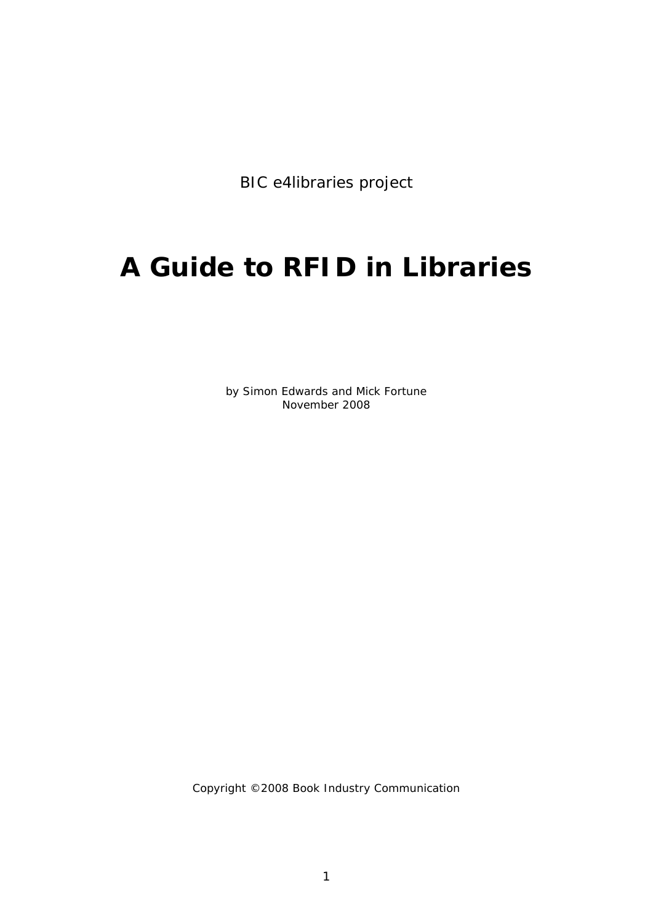BIC e4libraries project

# **A Guide to RFID in Libraries**

*by Simon Edwards and Mick Fortune November 2008*

Copyright ©2008 Book Industry Communication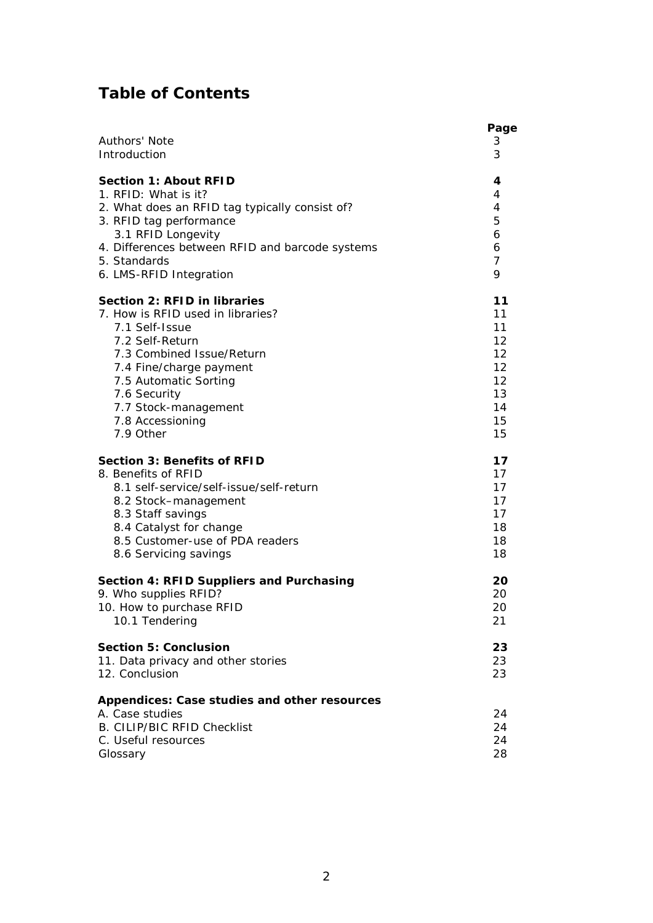# **Table of Contents**

| Authors' Note<br>3<br>3<br>Introduction<br><b>Section 1: About RFID</b><br>4<br>1. RFID: What is it?<br>4<br>4<br>2. What does an RFID tag typically consist of?<br>5<br>3. RFID tag performance<br>3.1 RFID Longevity<br>6<br>4. Differences between RFID and barcode systems<br>6<br>5. Standards<br>7<br>6. LMS-RFID Integration<br>9<br>Section 2: RFID in libraries<br>11<br>7. How is RFID used in libraries?<br>11<br>7.1 Self-Issue<br>11<br>12<br>7.2 Self-Return<br>12<br>7.3 Combined Issue/Return<br>12<br>7.4 Fine/charge payment<br>12<br>7.5 Automatic Sorting<br>13<br>7.6 Security<br>7.7 Stock-management<br>14<br>7.8 Accessioning<br>15<br>7.9 Other<br>15<br><b>Section 3: Benefits of RFID</b><br>17<br>8. Benefits of RFID<br>17<br>17<br>8.1 self-service/self-issue/self-return<br>17<br>8.2 Stock-management<br>17<br>8.3 Staff savings<br>8.4 Catalyst for change<br>18<br>8.5 Customer-use of PDA readers<br>18<br>18<br>8.6 Servicing savings<br>Section 4: RFID Suppliers and Purchasing<br>20<br>9. Who supplies RFID?<br>20<br>10. How to purchase RFID<br>20<br>10.1 Tendering<br>21<br><b>Section 5: Conclusion</b><br>23<br>11. Data privacy and other stories<br>23<br>12. Conclusion<br>23<br>Appendices: Case studies and other resources<br>A. Case studies<br>24<br><b>B. CILIP/BIC RFID Checklist</b><br>24<br>24<br>C. Useful resources<br>28<br>Glossary | Page |
|-----------------------------------------------------------------------------------------------------------------------------------------------------------------------------------------------------------------------------------------------------------------------------------------------------------------------------------------------------------------------------------------------------------------------------------------------------------------------------------------------------------------------------------------------------------------------------------------------------------------------------------------------------------------------------------------------------------------------------------------------------------------------------------------------------------------------------------------------------------------------------------------------------------------------------------------------------------------------------------------------------------------------------------------------------------------------------------------------------------------------------------------------------------------------------------------------------------------------------------------------------------------------------------------------------------------------------------------------------------------------------------------------------|------|
|                                                                                                                                                                                                                                                                                                                                                                                                                                                                                                                                                                                                                                                                                                                                                                                                                                                                                                                                                                                                                                                                                                                                                                                                                                                                                                                                                                                                     |      |
|                                                                                                                                                                                                                                                                                                                                                                                                                                                                                                                                                                                                                                                                                                                                                                                                                                                                                                                                                                                                                                                                                                                                                                                                                                                                                                                                                                                                     |      |
|                                                                                                                                                                                                                                                                                                                                                                                                                                                                                                                                                                                                                                                                                                                                                                                                                                                                                                                                                                                                                                                                                                                                                                                                                                                                                                                                                                                                     |      |
|                                                                                                                                                                                                                                                                                                                                                                                                                                                                                                                                                                                                                                                                                                                                                                                                                                                                                                                                                                                                                                                                                                                                                                                                                                                                                                                                                                                                     |      |
|                                                                                                                                                                                                                                                                                                                                                                                                                                                                                                                                                                                                                                                                                                                                                                                                                                                                                                                                                                                                                                                                                                                                                                                                                                                                                                                                                                                                     |      |
|                                                                                                                                                                                                                                                                                                                                                                                                                                                                                                                                                                                                                                                                                                                                                                                                                                                                                                                                                                                                                                                                                                                                                                                                                                                                                                                                                                                                     |      |
|                                                                                                                                                                                                                                                                                                                                                                                                                                                                                                                                                                                                                                                                                                                                                                                                                                                                                                                                                                                                                                                                                                                                                                                                                                                                                                                                                                                                     |      |
|                                                                                                                                                                                                                                                                                                                                                                                                                                                                                                                                                                                                                                                                                                                                                                                                                                                                                                                                                                                                                                                                                                                                                                                                                                                                                                                                                                                                     |      |
|                                                                                                                                                                                                                                                                                                                                                                                                                                                                                                                                                                                                                                                                                                                                                                                                                                                                                                                                                                                                                                                                                                                                                                                                                                                                                                                                                                                                     |      |
|                                                                                                                                                                                                                                                                                                                                                                                                                                                                                                                                                                                                                                                                                                                                                                                                                                                                                                                                                                                                                                                                                                                                                                                                                                                                                                                                                                                                     |      |
|                                                                                                                                                                                                                                                                                                                                                                                                                                                                                                                                                                                                                                                                                                                                                                                                                                                                                                                                                                                                                                                                                                                                                                                                                                                                                                                                                                                                     |      |
|                                                                                                                                                                                                                                                                                                                                                                                                                                                                                                                                                                                                                                                                                                                                                                                                                                                                                                                                                                                                                                                                                                                                                                                                                                                                                                                                                                                                     |      |
|                                                                                                                                                                                                                                                                                                                                                                                                                                                                                                                                                                                                                                                                                                                                                                                                                                                                                                                                                                                                                                                                                                                                                                                                                                                                                                                                                                                                     |      |
|                                                                                                                                                                                                                                                                                                                                                                                                                                                                                                                                                                                                                                                                                                                                                                                                                                                                                                                                                                                                                                                                                                                                                                                                                                                                                                                                                                                                     |      |
|                                                                                                                                                                                                                                                                                                                                                                                                                                                                                                                                                                                                                                                                                                                                                                                                                                                                                                                                                                                                                                                                                                                                                                                                                                                                                                                                                                                                     |      |
|                                                                                                                                                                                                                                                                                                                                                                                                                                                                                                                                                                                                                                                                                                                                                                                                                                                                                                                                                                                                                                                                                                                                                                                                                                                                                                                                                                                                     |      |
|                                                                                                                                                                                                                                                                                                                                                                                                                                                                                                                                                                                                                                                                                                                                                                                                                                                                                                                                                                                                                                                                                                                                                                                                                                                                                                                                                                                                     |      |
|                                                                                                                                                                                                                                                                                                                                                                                                                                                                                                                                                                                                                                                                                                                                                                                                                                                                                                                                                                                                                                                                                                                                                                                                                                                                                                                                                                                                     |      |
|                                                                                                                                                                                                                                                                                                                                                                                                                                                                                                                                                                                                                                                                                                                                                                                                                                                                                                                                                                                                                                                                                                                                                                                                                                                                                                                                                                                                     |      |
|                                                                                                                                                                                                                                                                                                                                                                                                                                                                                                                                                                                                                                                                                                                                                                                                                                                                                                                                                                                                                                                                                                                                                                                                                                                                                                                                                                                                     |      |
|                                                                                                                                                                                                                                                                                                                                                                                                                                                                                                                                                                                                                                                                                                                                                                                                                                                                                                                                                                                                                                                                                                                                                                                                                                                                                                                                                                                                     |      |
|                                                                                                                                                                                                                                                                                                                                                                                                                                                                                                                                                                                                                                                                                                                                                                                                                                                                                                                                                                                                                                                                                                                                                                                                                                                                                                                                                                                                     |      |
|                                                                                                                                                                                                                                                                                                                                                                                                                                                                                                                                                                                                                                                                                                                                                                                                                                                                                                                                                                                                                                                                                                                                                                                                                                                                                                                                                                                                     |      |
|                                                                                                                                                                                                                                                                                                                                                                                                                                                                                                                                                                                                                                                                                                                                                                                                                                                                                                                                                                                                                                                                                                                                                                                                                                                                                                                                                                                                     |      |
|                                                                                                                                                                                                                                                                                                                                                                                                                                                                                                                                                                                                                                                                                                                                                                                                                                                                                                                                                                                                                                                                                                                                                                                                                                                                                                                                                                                                     |      |
|                                                                                                                                                                                                                                                                                                                                                                                                                                                                                                                                                                                                                                                                                                                                                                                                                                                                                                                                                                                                                                                                                                                                                                                                                                                                                                                                                                                                     |      |
|                                                                                                                                                                                                                                                                                                                                                                                                                                                                                                                                                                                                                                                                                                                                                                                                                                                                                                                                                                                                                                                                                                                                                                                                                                                                                                                                                                                                     |      |
|                                                                                                                                                                                                                                                                                                                                                                                                                                                                                                                                                                                                                                                                                                                                                                                                                                                                                                                                                                                                                                                                                                                                                                                                                                                                                                                                                                                                     |      |
|                                                                                                                                                                                                                                                                                                                                                                                                                                                                                                                                                                                                                                                                                                                                                                                                                                                                                                                                                                                                                                                                                                                                                                                                                                                                                                                                                                                                     |      |
|                                                                                                                                                                                                                                                                                                                                                                                                                                                                                                                                                                                                                                                                                                                                                                                                                                                                                                                                                                                                                                                                                                                                                                                                                                                                                                                                                                                                     |      |
|                                                                                                                                                                                                                                                                                                                                                                                                                                                                                                                                                                                                                                                                                                                                                                                                                                                                                                                                                                                                                                                                                                                                                                                                                                                                                                                                                                                                     |      |
|                                                                                                                                                                                                                                                                                                                                                                                                                                                                                                                                                                                                                                                                                                                                                                                                                                                                                                                                                                                                                                                                                                                                                                                                                                                                                                                                                                                                     |      |
|                                                                                                                                                                                                                                                                                                                                                                                                                                                                                                                                                                                                                                                                                                                                                                                                                                                                                                                                                                                                                                                                                                                                                                                                                                                                                                                                                                                                     |      |
|                                                                                                                                                                                                                                                                                                                                                                                                                                                                                                                                                                                                                                                                                                                                                                                                                                                                                                                                                                                                                                                                                                                                                                                                                                                                                                                                                                                                     |      |
|                                                                                                                                                                                                                                                                                                                                                                                                                                                                                                                                                                                                                                                                                                                                                                                                                                                                                                                                                                                                                                                                                                                                                                                                                                                                                                                                                                                                     |      |
|                                                                                                                                                                                                                                                                                                                                                                                                                                                                                                                                                                                                                                                                                                                                                                                                                                                                                                                                                                                                                                                                                                                                                                                                                                                                                                                                                                                                     |      |
|                                                                                                                                                                                                                                                                                                                                                                                                                                                                                                                                                                                                                                                                                                                                                                                                                                                                                                                                                                                                                                                                                                                                                                                                                                                                                                                                                                                                     |      |
|                                                                                                                                                                                                                                                                                                                                                                                                                                                                                                                                                                                                                                                                                                                                                                                                                                                                                                                                                                                                                                                                                                                                                                                                                                                                                                                                                                                                     |      |
|                                                                                                                                                                                                                                                                                                                                                                                                                                                                                                                                                                                                                                                                                                                                                                                                                                                                                                                                                                                                                                                                                                                                                                                                                                                                                                                                                                                                     |      |
|                                                                                                                                                                                                                                                                                                                                                                                                                                                                                                                                                                                                                                                                                                                                                                                                                                                                                                                                                                                                                                                                                                                                                                                                                                                                                                                                                                                                     |      |
|                                                                                                                                                                                                                                                                                                                                                                                                                                                                                                                                                                                                                                                                                                                                                                                                                                                                                                                                                                                                                                                                                                                                                                                                                                                                                                                                                                                                     |      |
|                                                                                                                                                                                                                                                                                                                                                                                                                                                                                                                                                                                                                                                                                                                                                                                                                                                                                                                                                                                                                                                                                                                                                                                                                                                                                                                                                                                                     |      |
|                                                                                                                                                                                                                                                                                                                                                                                                                                                                                                                                                                                                                                                                                                                                                                                                                                                                                                                                                                                                                                                                                                                                                                                                                                                                                                                                                                                                     |      |
|                                                                                                                                                                                                                                                                                                                                                                                                                                                                                                                                                                                                                                                                                                                                                                                                                                                                                                                                                                                                                                                                                                                                                                                                                                                                                                                                                                                                     |      |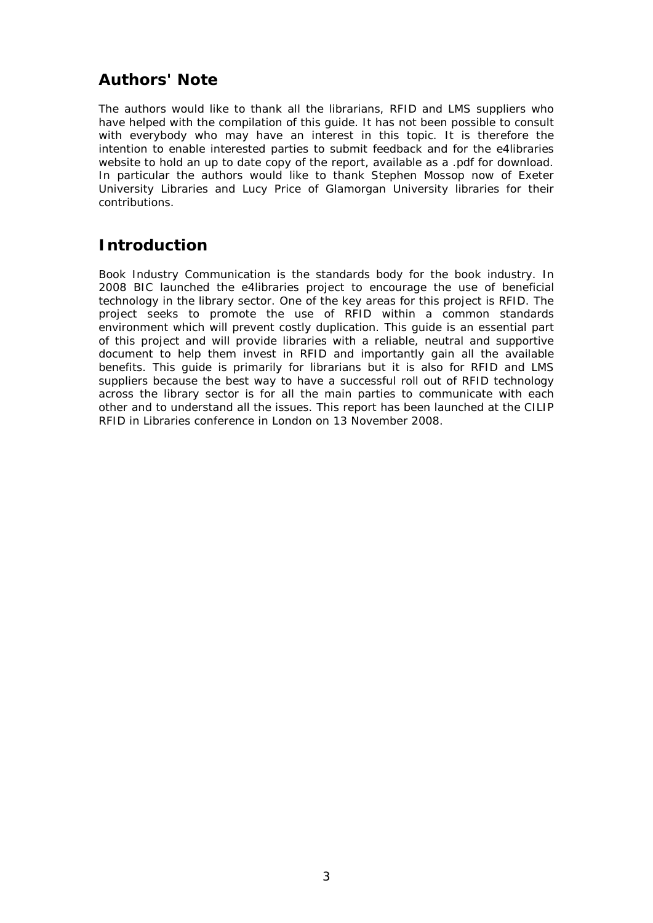# **Authors' Note**

The authors would like to thank all the librarians, RFID and LMS suppliers who have helped with the compilation of this guide. It has not been possible to consult with everybody who may have an interest in this topic. It is therefore the intention to enable interested parties to submit feedback and for the e4libraries website to hold an up to date copy of the report, available as a .pdf for download. In particular the authors would like to thank Stephen Mossop now of Exeter University Libraries and Lucy Price of Glamorgan University libraries for their contributions.

# **Introduction**

Book Industry Communication is the standards body for the book industry. In 2008 BIC launched the e4libraries project to encourage the use of beneficial technology in the library sector. One of the key areas for this project is RFID. The project seeks to promote the use of RFID within a common standards environment which will prevent costly duplication. This guide is an essential part of this project and will provide libraries with a reliable, neutral and supportive document to help them invest in RFID and importantly gain all the available benefits. This guide is primarily for librarians but it is also for RFID and LMS suppliers because the best way to have a successful roll out of RFID technology across the library sector is for all the main parties to communicate with each other and to understand all the issues. This report has been launched at the CILIP RFID in Libraries conference in London on 13 November 2008.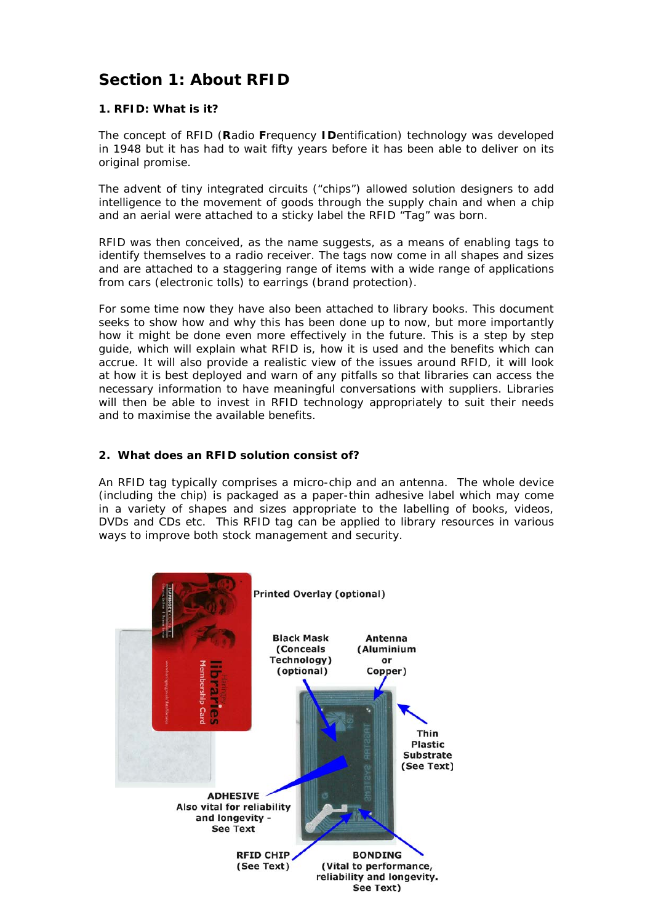# **Section 1: About RFID**

#### **1. RFID: What is it?**

The concept of RFID (**R**adio **F**requency **ID**entification) technology was developed in 1948 but it has had to wait fifty years before it has been able to deliver on its original promise.

The advent of tiny integrated circuits ("chips") allowed solution designers to add intelligence to the movement of goods through the supply chain and when a chip and an aerial were attached to a sticky label the RFID "Tag" was born.

RFID was then conceived, as the name suggests, as a means of enabling tags to identify themselves to a radio receiver. The tags now come in all shapes and sizes and are attached to a staggering range of items with a wide range of applications from cars (electronic tolls) to earrings (brand protection).

For some time now they have also been attached to library books. This document seeks to show how and why this has been done up to now, but more importantly how it might be done even more effectively in the future. This is a step by step guide, which will explain what RFID is, how it is used and the benefits which can accrue. It will also provide a realistic view of the issues around RFID, it will look at how it is best deployed and warn of any pitfalls so that libraries can access the necessary information to have meaningful conversations with suppliers. Libraries will then be able to invest in RFID technology appropriately to suit their needs and to maximise the available benefits.

#### **2. What does an RFID solution consist of?**

An RFID tag typically comprises a micro-chip and an antenna. The whole device (including the chip) is packaged as a paper-thin adhesive label which may come in a variety of shapes and sizes appropriate to the labelling of books, videos, DVDs and CDs etc. This RFID tag can be applied to library resources in various ways to improve both stock management and security.

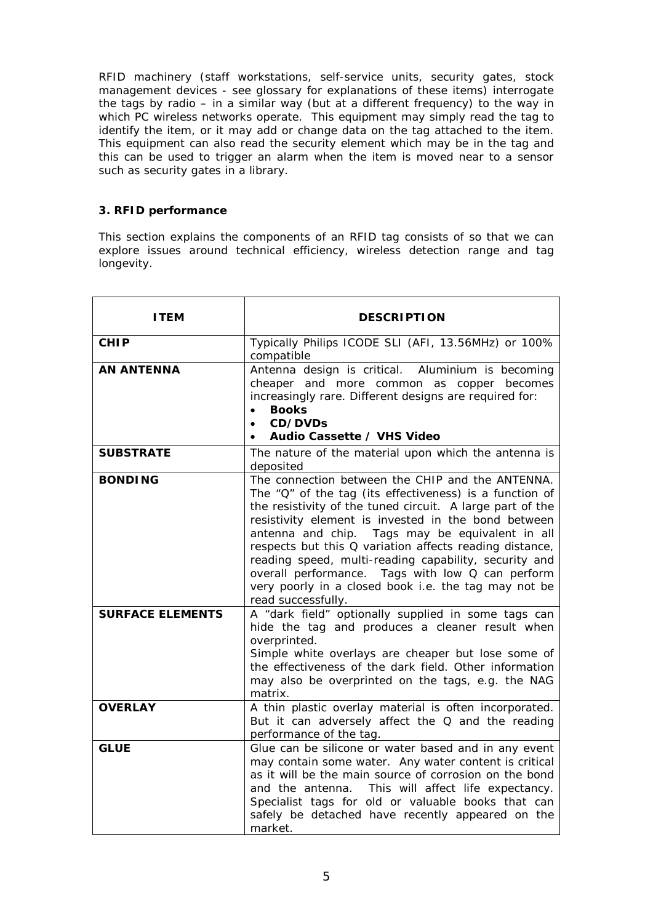RFID machinery (staff workstations, self-service units, security gates, stock management devices - see glossary for explanations of these items) interrogate the tags by radio – in a similar way (but at a different frequency) to the way in which PC wireless networks operate. This equipment may simply read the tag to identify the item, or it may add or change data on the tag attached to the item. This equipment can also read the security element which may be in the tag and this can be used to trigger an alarm when the item is moved near to a sensor such as security gates in a library.

#### **3. RFID performance**

This section explains the components of an RFID tag consists of so that we can explore issues around technical efficiency, wireless detection range and tag longevity.

| I TEM                   | <b>DESCRIPTION</b>                                                                                                                                                                                                                                                                                                                                                                                                                                                                                                                          |
|-------------------------|---------------------------------------------------------------------------------------------------------------------------------------------------------------------------------------------------------------------------------------------------------------------------------------------------------------------------------------------------------------------------------------------------------------------------------------------------------------------------------------------------------------------------------------------|
| <b>CHIP</b>             | Typically Philips ICODE SLI (AFI, 13.56MHz) or 100%<br>compatible                                                                                                                                                                                                                                                                                                                                                                                                                                                                           |
| <b>AN ANTENNA</b>       | Antenna design is critical. Aluminium is becoming<br>cheaper and more common as copper becomes<br>increasingly rare. Different designs are required for:<br><b>Books</b><br>$\bullet$<br>CD/DVDs<br>$\bullet$<br>Audio Cassette / VHS Video                                                                                                                                                                                                                                                                                                 |
| <b>SUBSTRATE</b>        | The nature of the material upon which the antenna is<br>deposited                                                                                                                                                                                                                                                                                                                                                                                                                                                                           |
| <b>BONDING</b>          | The connection between the CHIP and the ANTENNA.<br>The "Q" of the tag (its effectiveness) is a function of<br>the resistivity of the tuned circuit. A large part of the<br>resistivity element is invested in the bond between<br>antenna and chip. Tags may be equivalent in all<br>respects but this Q variation affects reading distance,<br>reading speed, multi-reading capability, security and<br>Tags with low Q can perform<br>overall performance.<br>very poorly in a closed book i.e. the tag may not be<br>read successfully. |
| <b>SURFACE ELEMENTS</b> | A "dark field" optionally supplied in some tags can<br>hide the tag and produces a cleaner result when<br>overprinted.<br>Simple white overlays are cheaper but lose some of<br>the effectiveness of the dark field. Other information<br>may also be overprinted on the tags, e.g. the NAG<br>matrix.                                                                                                                                                                                                                                      |
| <b>OVERLAY</b>          | A thin plastic overlay material is often incorporated.<br>But it can adversely affect the Q and the reading<br>performance of the tag.                                                                                                                                                                                                                                                                                                                                                                                                      |
| <b>GLUE</b>             | Glue can be silicone or water based and in any event<br>may contain some water. Any water content is critical<br>as it will be the main source of corrosion on the bond<br>and the antenna.<br>This will affect life expectancy.<br>Specialist tags for old or valuable books that can<br>safely be detached have recently appeared on the<br>market.                                                                                                                                                                                       |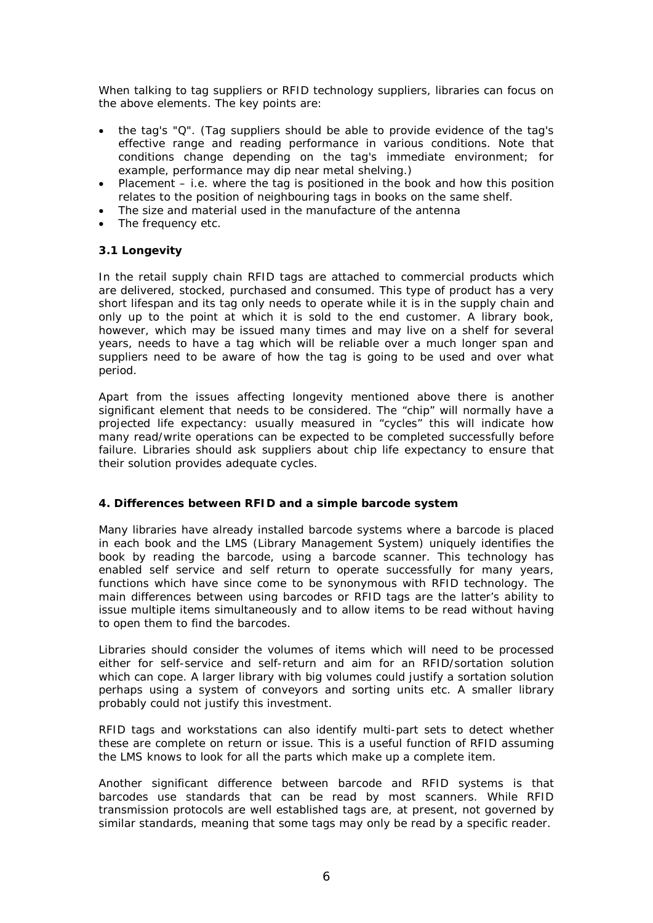When talking to tag suppliers or RFID technology suppliers, libraries can focus on the above elements. The key points are:

- the tag's "Q". (Tag suppliers should be able to provide evidence of the tag's effective range and reading performance in various conditions. Note that conditions change depending on the tag's immediate environment; for example, performance may dip near metal shelving.)
- Placement  $-$  i.e. where the tag is positioned in the book and how this position relates to the position of neighbouring tags in books on the same shelf.
- The size and material used in the manufacture of the antenna
- The frequency etc.

#### **3.1 Longevity**

In the retail supply chain RFID tags are attached to commercial products which are delivered, stocked, purchased and consumed. This type of product has a very short lifespan and its tag only needs to operate while it is in the supply chain and only up to the point at which it is sold to the end customer. A library book, however, which may be issued many times and may live on a shelf for several years, needs to have a tag which will be reliable over a much longer span and suppliers need to be aware of how the tag is going to be used and over what period.

Apart from the issues affecting longevity mentioned above there is another significant element that needs to be considered. The "chip" will normally have a projected life expectancy: usually measured in "cycles" this will indicate how many read/write operations can be expected to be completed successfully before failure. Libraries should ask suppliers about chip life expectancy to ensure that their solution provides adequate cycles.

#### **4. Differences between RFID and a simple barcode system**

Many libraries have already installed barcode systems where a barcode is placed in each book and the LMS (Library Management System) uniquely identifies the book by reading the barcode, using a barcode scanner. This technology has enabled self service and self return to operate successfully for many years, functions which have since come to be synonymous with RFID technology. The main differences between using barcodes or RFID tags are the latter's ability to issue multiple items simultaneously and to allow items to be read without having to open them to find the barcodes.

Libraries should consider the volumes of items which will need to be processed either for self-service and self-return and aim for an RFID/sortation solution which can cope. A larger library with big volumes could justify a sortation solution perhaps using a system of conveyors and sorting units etc. A smaller library probably could not justify this investment.

RFID tags and workstations can also identify multi-part sets to detect whether these are complete on return or issue. This is a useful function of RFID assuming the LMS knows to look for all the parts which make up a complete item.

Another significant difference between barcode and RFID systems is that barcodes use standards that can be read by most scanners. While RFID transmission protocols are well established tags are, at present, not governed by similar standards, meaning that some tags may only be read by a specific reader.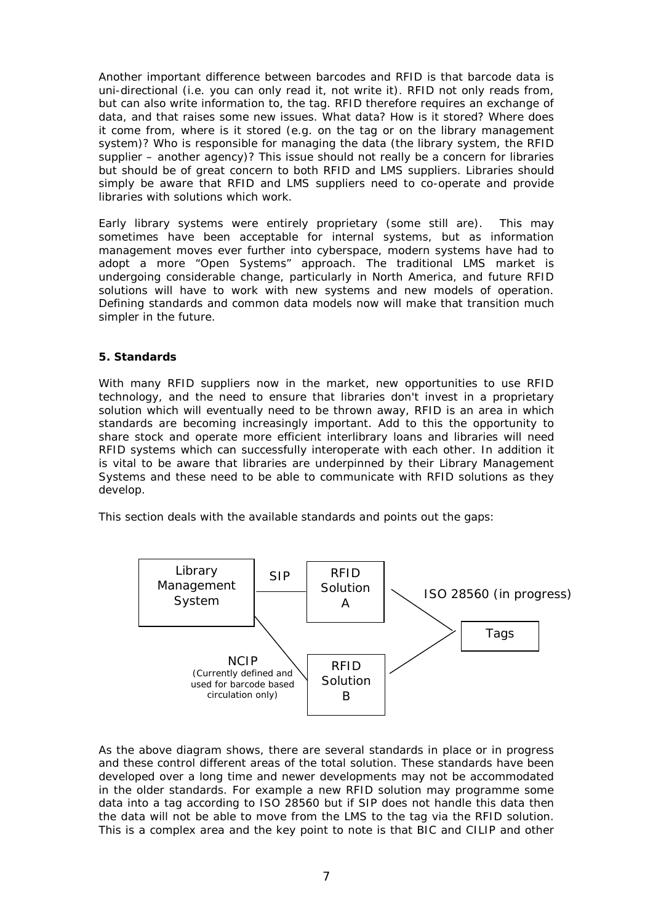Another important difference between barcodes and RFID is that barcode data is uni-directional (i.e. you can only read it, not write it). RFID not only reads from, but can also write information to, the tag. RFID therefore requires an exchange of data, and that raises some new issues. What data? How is it stored? Where does it come from, where is it stored (e.g. on the tag or on the library management system)? Who is responsible for managing the data (the library system, the RFID supplier – another agency)? This issue should not really be a concern for libraries but should be of great concern to both RFID and LMS suppliers. Libraries should simply be aware that RFID and LMS suppliers need to co-operate and provide libraries with solutions which work.

Early library systems were entirely proprietary (some still are). This may sometimes have been acceptable for internal systems, but as information management moves ever further into cyberspace, modern systems have had to adopt a more "Open Systems" approach. The traditional LMS market is undergoing considerable change, particularly in North America, and future RFID solutions will have to work with new systems and new models of operation. Defining standards and common data models now will make that transition much simpler in the future.

#### **5. Standards**

With many RFID suppliers now in the market, new opportunities to use RFID technology, and the need to ensure that libraries don't invest in a proprietary solution which will eventually need to be thrown away, RFID is an area in which standards are becoming increasingly important. Add to this the opportunity to share stock and operate more efficient interlibrary loans and libraries will need RFID systems which can successfully interoperate with each other. In addition it is vital to be aware that libraries are underpinned by their Library Management Systems and these need to be able to communicate with RFID solutions as they develop.

This section deals with the available standards and points out the gaps:



As the above diagram shows, there are several standards in place or in progress and these control different areas of the total solution. These standards have been developed over a long time and newer developments may not be accommodated in the older standards. For example a new RFID solution may programme some data into a tag according to ISO 28560 but if SIP does not handle this data then the data will not be able to move from the LMS to the tag via the RFID solution. This is a complex area and the key point to note is that BIC and CILIP and other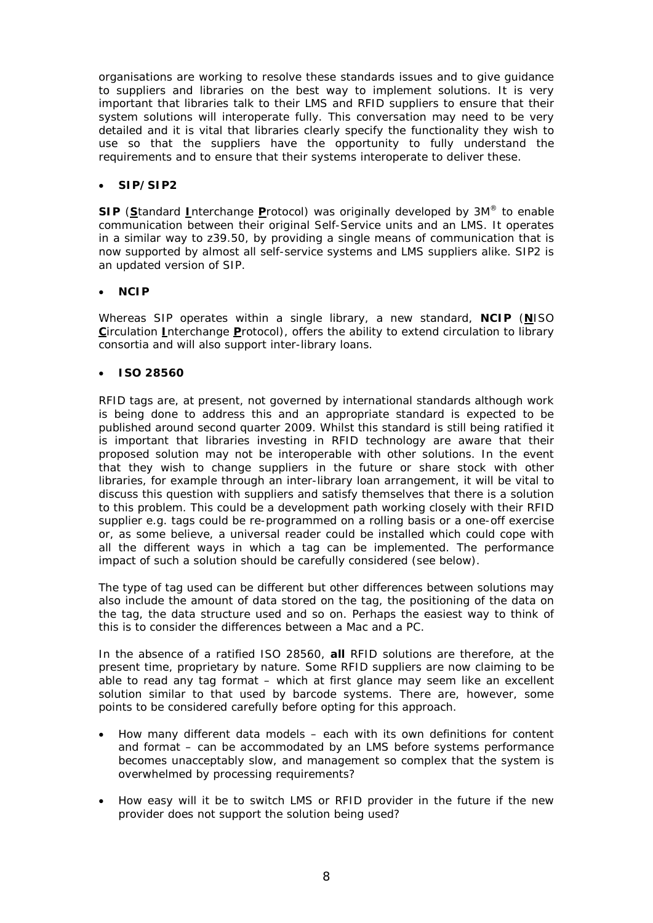organisations are working to resolve these standards issues and to give guidance to suppliers and libraries on the best way to implement solutions. It is very important that libraries talk to their LMS and RFID suppliers to ensure that their system solutions will interoperate fully. This conversation may need to be very detailed and it is vital that libraries clearly specify the functionality they wish to use so that the suppliers have the opportunity to fully understand the requirements and to ensure that their systems interoperate to deliver these.

#### • **SIP/SIP2**

**SIP** (**S**tandard **I**nterchange **P**rotocol) was originally developed by 3M® to enable communication between their original Self-Service units and an LMS. It operates in a similar way to z39.50, by providing a single means of communication that is now supported by almost all self-service systems and LMS suppliers alike. SIP2 is an updated version of SIP.

#### • **NCIP**

Whereas SIP operates within a single library, a new standard, **NCIP** (**N**ISO **C**irculation **I**nterchange **P**rotocol), offers the ability to extend circulation to library consortia and will also support inter-library loans.

#### • **ISO 28560**

RFID tags are, at present, not governed by international standards although work is being done to address this and an appropriate standard is expected to be published around second quarter 2009. Whilst this standard is still being ratified it is important that libraries investing in RFID technology are aware that their proposed solution may not be interoperable with other solutions. In the event that they wish to change suppliers in the future or share stock with other libraries, for example through an inter-library loan arrangement, it will be vital to discuss this question with suppliers and satisfy themselves that there is a solution to this problem. This could be a development path working closely with their RFID supplier e.g. tags could be re-programmed on a rolling basis or a one-off exercise or, as some believe, a universal reader could be installed which could cope with all the different ways in which a tag can be implemented. The performance impact of such a solution should be carefully considered (see below).

The type of tag used can be different but other differences between solutions may also include the amount of data stored on the tag, the positioning of the data on the tag, the data structure used and so on. Perhaps the easiest way to think of this is to consider the differences between a Mac and a PC.

In the absence of a ratified ISO 28560, *all* RFID solutions are therefore, at the present time, proprietary by nature. Some RFID suppliers are now claiming to be able to read any tag format – which at first glance may seem like an excellent solution similar to that used by barcode systems. There are, however, some points to be considered carefully before opting for this approach.

- How many different data models each with its own definitions for content and format – can be accommodated by an LMS before systems performance becomes unacceptably slow, and management so complex that the system is overwhelmed by processing requirements?
- How easy will it be to switch LMS or RFID provider in the future if the new provider does not support the solution being used?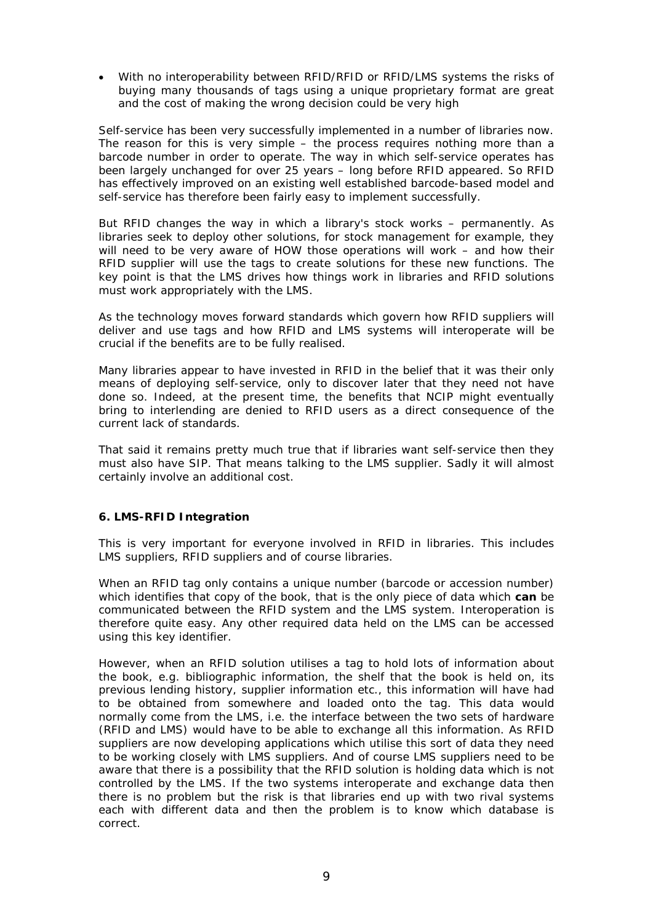• With no interoperability between RFID/RFID or RFID/LMS systems the risks of buying many thousands of tags using a unique proprietary format are great and the cost of making the wrong decision could be very high

Self-service has been very successfully implemented in a number of libraries now. The reason for this is very simple – the process requires nothing more than a barcode number in order to operate. The way in which self-service operates has been largely unchanged for over 25 years – long before RFID appeared. So RFID has effectively improved on an existing well established barcode-based model and self-service has therefore been fairly easy to implement successfully.

But RFID changes the way in which a library's stock works – permanently. As libraries seek to deploy other solutions, for stock management for example, they will need to be very aware of HOW those operations will work – and how their RFID supplier will use the tags to create solutions for these new functions. The key point is that the LMS drives how things work in libraries and RFID solutions must work appropriately with the LMS.

As the technology moves forward standards which govern how RFID suppliers will deliver and use tags and how RFID and LMS systems will interoperate will be crucial if the benefits are to be fully realised.

Many libraries appear to have invested in RFID in the belief that it was their only means of deploying self-service, only to discover later that they need not have done so. Indeed, at the present time, the benefits that NCIP might eventually bring to interlending are denied to RFID users as a direct consequence of the current lack of standards.

That said it remains pretty much true that if libraries want self-service then they must also have SIP. That means talking to the LMS supplier. Sadly it will almost certainly involve an additional cost.

#### **6. LMS-RFID Integration**

This is very important for everyone involved in RFID in libraries. This includes LMS suppliers, RFID suppliers and of course libraries.

When an RFID tag only contains a unique number (barcode or accession number) which identifies that copy of the book, that is the only piece of data which **can** be communicated between the RFID system and the LMS system. Interoperation is therefore quite easy. Any other required data held on the LMS can be accessed using this key identifier.

However, when an RFID solution utilises a tag to hold lots of information about the book, e.g. bibliographic information, the shelf that the book is held on, its previous lending history, supplier information etc., this information will have had to be obtained from somewhere and loaded onto the tag. This data would normally come from the LMS, i.e. the interface between the two sets of hardware (RFID and LMS) would have to be able to exchange all this information. As RFID suppliers are now developing applications which utilise this sort of data they need to be working closely with LMS suppliers. And of course LMS suppliers need to be aware that there is a possibility that the RFID solution is holding data which is not controlled by the LMS. If the two systems interoperate and exchange data then there is no problem but the risk is that libraries end up with two rival systems each with different data and then the problem is to know which database is correct.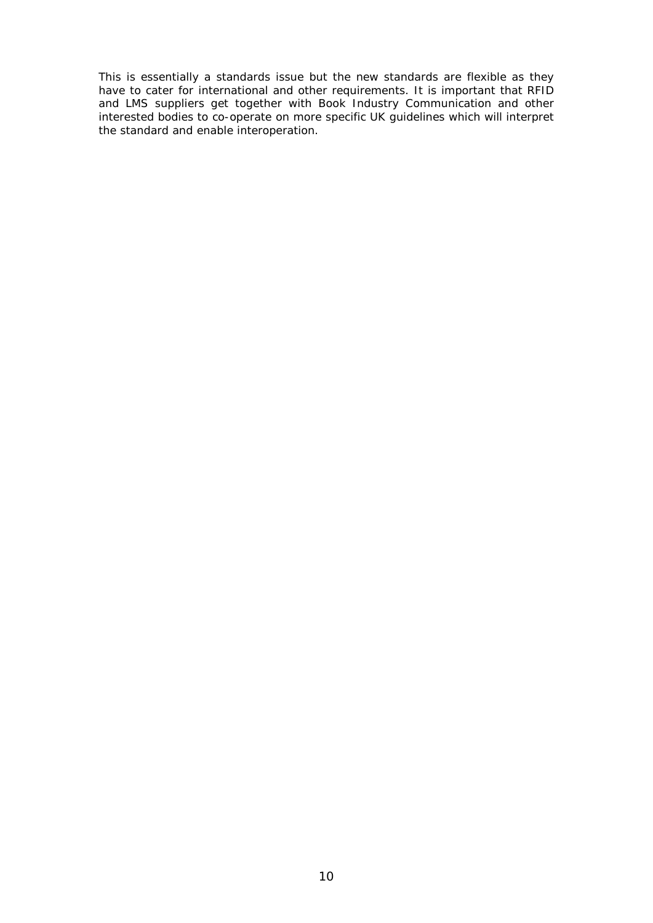This is essentially a standards issue but the new standards are flexible as they have to cater for international and other requirements. It is important that RFID and LMS suppliers get together with Book Industry Communication and other interested bodies to co-operate on more specific UK guidelines which will interpret the standard and enable interoperation.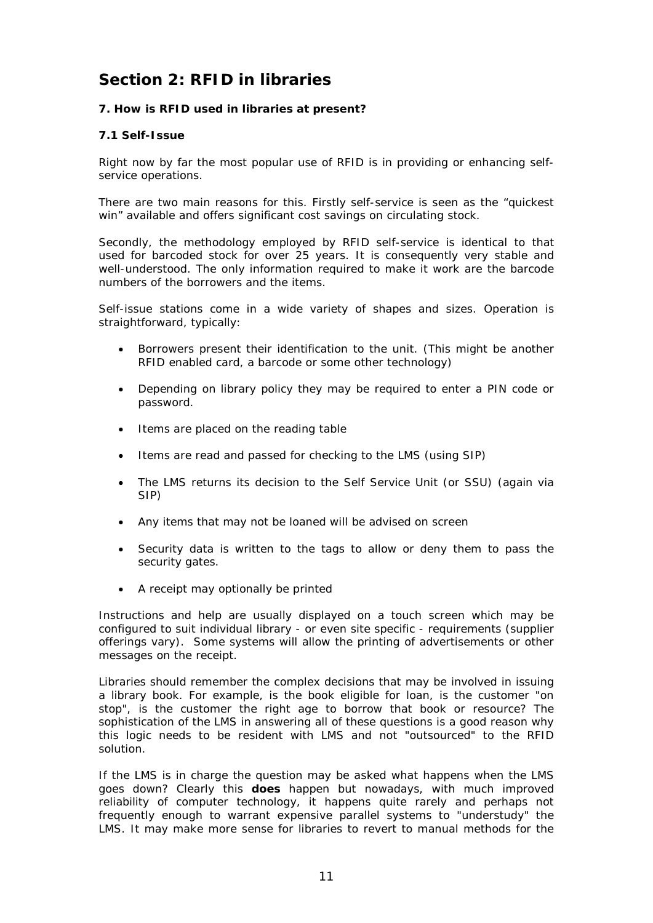## **Section 2: RFID in libraries**

#### **7. How is RFID used in libraries at present?**

#### **7.1 Self-Issue**

Right now by far the most popular use of RFID is in providing or enhancing selfservice operations.

There are two main reasons for this. Firstly self-service is seen as the "quickest win" available and offers significant cost savings on circulating stock.

Secondly, the methodology employed by RFID self-service is identical to that used for barcoded stock for over 25 years. It is consequently very stable and well-understood. The only information required to make it work are the barcode numbers of the borrowers and the items.

Self-issue stations come in a wide variety of shapes and sizes. Operation is straightforward, typically:

- Borrowers present their identification to the unit. (This might be another RFID enabled card, a barcode or some other technology)
- Depending on library policy they may be required to enter a PIN code or password.
- Items are placed on the reading table
- Items are read and passed for checking to the LMS (using SIP)
- The LMS returns its decision to the Self Service Unit (or SSU) (again via SIP)
- Any items that may not be loaned will be advised on screen
- Security data is written to the tags to allow or deny them to pass the security gates.
- A receipt may optionally be printed

Instructions and help are usually displayed on a touch screen which may be configured to suit individual library - or even site specific - requirements (supplier offerings vary). Some systems will allow the printing of advertisements or other messages on the receipt.

Libraries should remember the complex decisions that may be involved in issuing a library book. For example, is the book eligible for loan, is the customer "on stop", is the customer the right age to borrow that book or resource? The sophistication of the LMS in answering all of these questions is a good reason why this logic needs to be resident with LMS and not "outsourced" to the RFID solution.

If the LMS is in charge the question may be asked what happens when the LMS goes down? Clearly this *does* happen but nowadays, with much improved reliability of computer technology, it happens quite rarely and perhaps not frequently enough to warrant expensive parallel systems to "understudy" the LMS. It may make more sense for libraries to revert to manual methods for the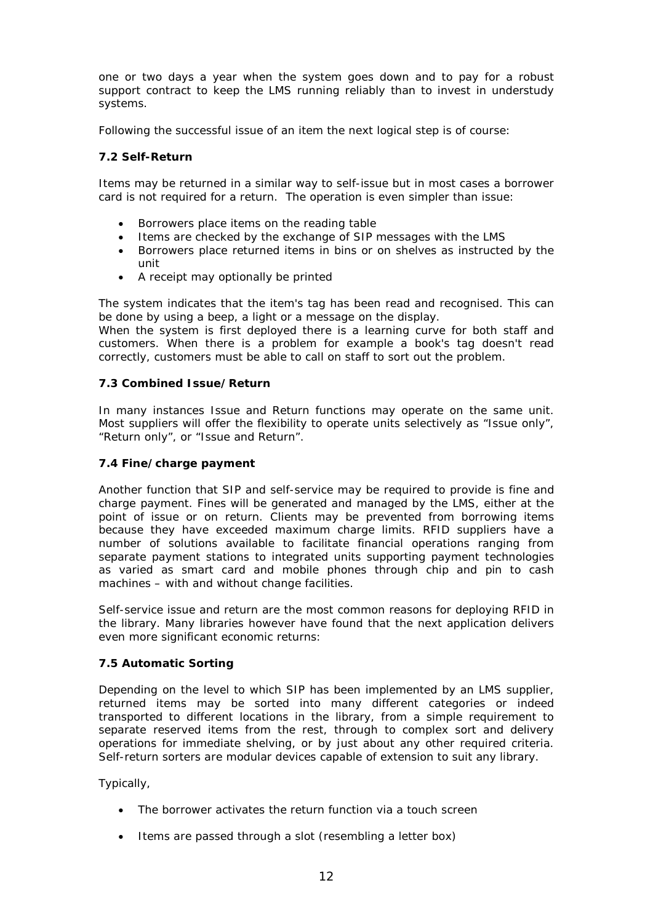one or two days a year when the system goes down and to pay for a robust support contract to keep the LMS running reliably than to invest in understudy systems.

Following the successful issue of an item the next logical step is of course:

#### **7.2 Self-Return**

Items may be returned in a similar way to self-issue but in most cases a borrower card is not required for a return. The operation is even simpler than issue:

- Borrowers place items on the reading table
- Items are checked by the exchange of SIP messages with the LMS
- Borrowers place returned items in bins or on shelves as instructed by the unit
- A receipt may optionally be printed

The system indicates that the item's tag has been read and recognised. This can be done by using a beep, a light or a message on the display.

When the system is first deployed there is a learning curve for both staff and customers. When there is a problem for example a book's tag doesn't read correctly, customers must be able to call on staff to sort out the problem.

#### **7.3 Combined Issue/Return**

In many instances Issue and Return functions may operate on the same unit. Most suppliers will offer the flexibility to operate units selectively as "Issue only", "Return only", or "Issue and Return".

#### **7.4 Fine/charge payment**

Another function that SIP and self-service may be required to provide is fine and charge payment. Fines will be generated and managed by the LMS, either at the point of issue or on return. Clients may be prevented from borrowing items because they have exceeded maximum charge limits. RFID suppliers have a number of solutions available to facilitate financial operations ranging from separate payment stations to integrated units supporting payment technologies as varied as smart card and mobile phones through chip and pin to cash machines – with and without change facilities.

Self-service issue and return are the most common reasons for deploying RFID in the library. Many libraries however have found that the next application delivers even more significant economic returns:

#### **7.5 Automatic Sorting**

Depending on the level to which SIP has been implemented by an LMS supplier, returned items may be sorted into many different categories or indeed transported to different locations in the library, from a simple requirement to separate reserved items from the rest, through to complex sort and delivery operations for immediate shelving, or by just about any other required criteria. Self-return sorters are modular devices capable of extension to suit any library.

Typically,

- The borrower activates the return function via a touch screen
- Items are passed through a slot (resembling a letter box)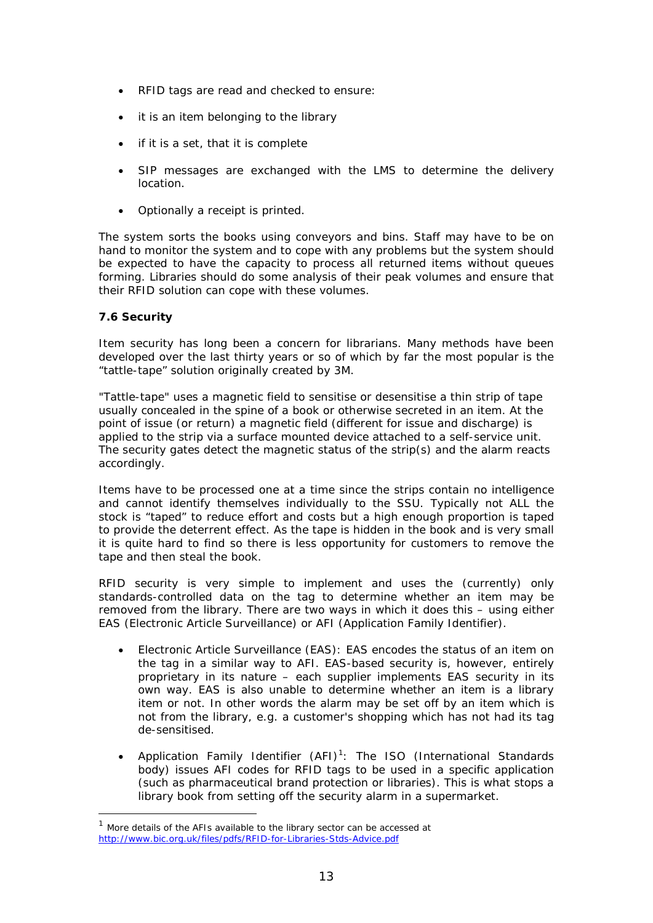- RFID tags are read and checked to ensure:
- it is an item belonging to the library
- if it is a set, that it is complete
- SIP messages are exchanged with the LMS to determine the delivery location.
- Optionally a receipt is printed.

The system sorts the books using conveyors and bins. Staff may have to be on hand to monitor the system and to cope with any problems but the system should be expected to have the capacity to process all returned items without queues forming. Libraries should do some analysis of their peak volumes and ensure that their RFID solution can cope with these volumes.

#### **7.6 Security**

-

Item security has long been a concern for librarians. Many methods have been developed over the last thirty years or so of which by far the most popular is the "tattle-tape" solution originally created by 3M.

"Tattle-tape" uses a magnetic field to sensitise or desensitise a thin strip of tape usually concealed in the spine of a book or otherwise secreted in an item. At the point of issue (or return) a magnetic field (different for issue and discharge) is applied to the strip via a surface mounted device attached to a self-service unit. The security gates detect the magnetic status of the strip(s) and the alarm reacts accordingly.

Items have to be processed one at a time since the strips contain no intelligence and cannot identify themselves individually to the SSU. Typically not ALL the stock is "taped" to reduce effort and costs but a high enough proportion is taped to provide the deterrent effect. As the tape is hidden in the book and is very small it is quite hard to find so there is less opportunity for customers to remove the tape and then steal the book.

RFID security is very simple to implement and uses the (currently) only standards-controlled data on the tag to determine whether an item may be removed from the library. There are two ways in which it does this – using either EAS (Electronic Article Surveillance) or AFI (Application Family Identifier).

- *Electronic Article Surveillance (EAS):* EAS encodes the status of an item on the tag in a similar way to AFI. EAS-based security is, however, entirely proprietary in its nature – each supplier implements EAS security in its own way. EAS is also unable to determine whether an item is a library item or not. In other words the alarm may be set off by an item which is not from the library, e.g. a customer's shopping which has not had its tag de-sensitised.
- *Application Family Identifier (AFI)[1](#page-12-0) :* The ISO (International Standards body) issues AFI codes for RFID tags to be used in a specific application (such as pharmaceutical brand protection or libraries). This is what stops a library book from setting off the security alarm in a supermarket.

<span id="page-12-0"></span> $1$  More details of the AFIs available to the library sector can be accessed at <http://www.bic.org.uk/files/pdfs/RFID-for-Libraries-Stds-Advice.pdf>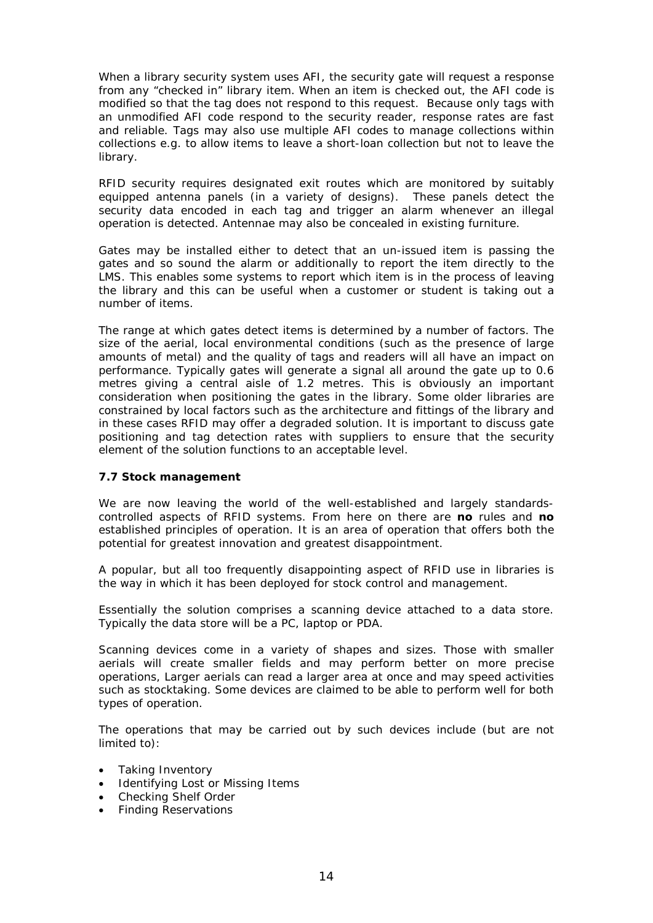When a library security system uses AFI, the security gate will request a response from any "checked in" library item. When an item is checked out, the AFI code is modified so that the tag does not respond to this request. Because only tags with an unmodified AFI code respond to the security reader, response rates are fast and reliable. Tags may also use multiple AFI codes to manage collections within collections e.g. to allow items to leave a short-loan collection but not to leave the library.

RFID security requires designated exit routes which are monitored by suitably equipped antenna panels (in a variety of designs). These panels detect the security data encoded in each tag and trigger an alarm whenever an illegal operation is detected. Antennae may also be concealed in existing furniture.

Gates may be installed either to detect that an un-issued item is passing the gates and so sound the alarm or additionally to report the item directly to the LMS. This enables some systems to report which item is in the process of leaving the library and this can be useful when a customer or student is taking out a number of items.

The range at which gates detect items is determined by a number of factors. The size of the aerial, local environmental conditions (such as the presence of large amounts of metal) and the quality of tags and readers will all have an impact on performance. Typically gates will generate a signal all around the gate up to 0.6 metres giving a central aisle of 1.2 metres. This is obviously an important consideration when positioning the gates in the library. Some older libraries are constrained by local factors such as the architecture and fittings of the library and in these cases RFID may offer a degraded solution. It is important to discuss gate positioning and tag detection rates with suppliers to ensure that the security element of the solution functions to an acceptable level.

#### **7.7 Stock management**

We are now leaving the world of the well-established and largely standardscontrolled aspects of RFID systems. From here on there are **no** rules and **no** established principles of operation. It is an area of operation that offers both the potential for greatest innovation and greatest disappointment.

A popular, but all too frequently disappointing aspect of RFID use in libraries is the way in which it has been deployed for stock control and management.

Essentially the solution comprises a scanning device attached to a data store. Typically the data store will be a PC, laptop or PDA.

Scanning devices come in a variety of shapes and sizes. Those with smaller aerials will create smaller fields and may perform better on more precise operations, Larger aerials can read a larger area at once and may speed activities such as stocktaking. Some devices are claimed to be able to perform well for both types of operation.

The operations that may be carried out by such devices include (but are not limited to):

- Taking Inventory
- Identifying Lost or Missing Items
- Checking Shelf Order
- Finding Reservations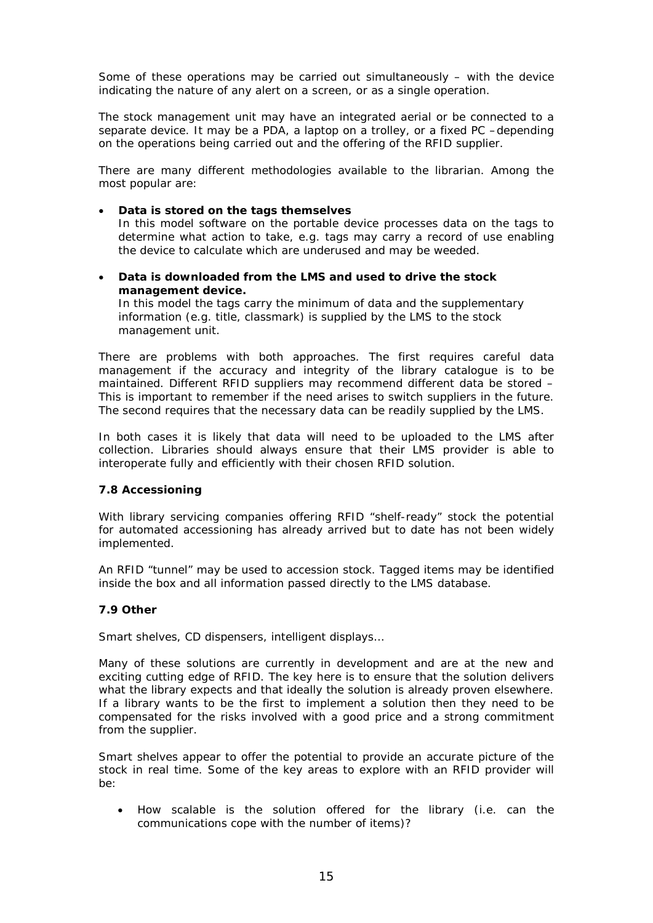Some of these operations may be carried out simultaneously – with the device indicating the nature of any alert on a screen, or as a single operation.

The stock management unit may have an integrated aerial or be connected to a separate device. It may be a PDA, a laptop on a trolley, or a fixed PC –depending on the operations being carried out and the offering of the RFID supplier.

There are many different methodologies available to the librarian. Among the most popular are:

#### • **Data is stored on the tags themselves**

In this model software on the portable device processes data on the tags to determine what action to take, e.g. tags may carry a record of use enabling the device to calculate which are underused and may be weeded.

• **Data is downloaded from the LMS and used to drive the stock management device.**

In this model the tags carry the minimum of data and the supplementary information (e.g. title, classmark) is supplied by the LMS to the stock management unit.

There are problems with both approaches. The first requires careful data management if the accuracy and integrity of the library catalogue is to be maintained. Different RFID suppliers may recommend different data be stored – This is important to remember if the need arises to switch suppliers in the future. The second requires that the necessary data can be readily supplied by the LMS.

In both cases it is likely that data will need to be uploaded to the LMS after collection. Libraries should always ensure that their LMS provider is able to interoperate fully and efficiently with their chosen RFID solution.

#### **7.8 Accessioning**

With library servicing companies offering RFID "shelf-ready" stock the potential for automated accessioning has already arrived but to date has not been widely implemented.

An RFID "tunnel" may be used to accession stock. Tagged items may be identified inside the box and all information passed directly to the LMS database.

#### **7.9 Other**

Smart shelves, CD dispensers, intelligent displays…

Many of these solutions are currently in development and are at the new and exciting cutting edge of RFID. The key here is to ensure that the solution delivers what the library expects and that ideally the solution is already proven elsewhere. If a library wants to be the first to implement a solution then they need to be compensated for the risks involved with a good price and a strong commitment from the supplier.

Smart shelves appear to offer the potential to provide an accurate picture of the stock in real time. Some of the key areas to explore with an RFID provider will  $h^{\alpha}$ 

• How scalable is the solution offered for the library (i.e. can the communications cope with the number of items)?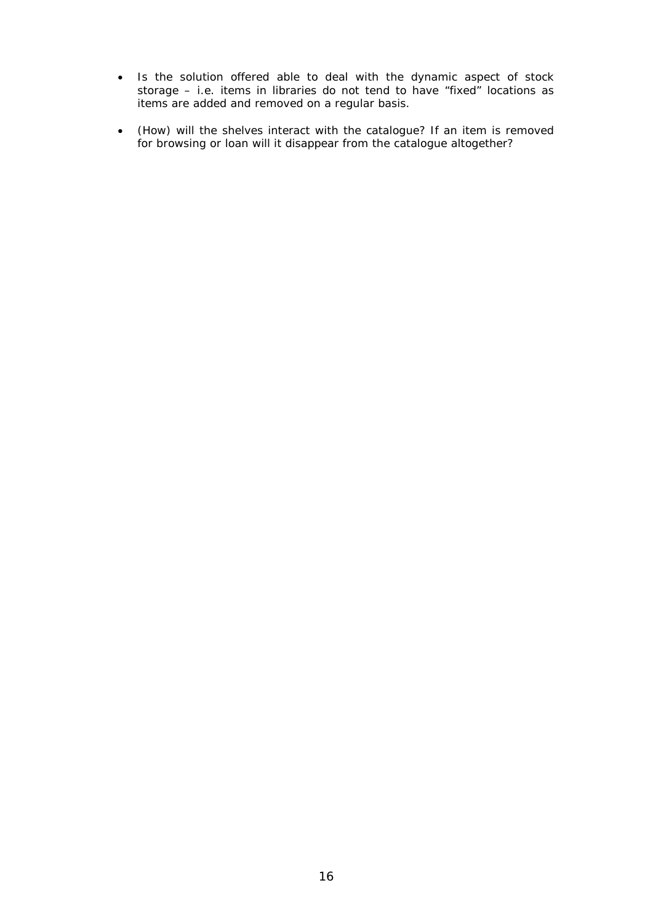- Is the solution offered able to deal with the dynamic aspect of stock storage – i.e. items in libraries do not tend to have "fixed" locations as items are added and removed on a regular basis.
- (How) will the shelves interact with the catalogue? If an item is removed for browsing or loan will it disappear from the catalogue altogether?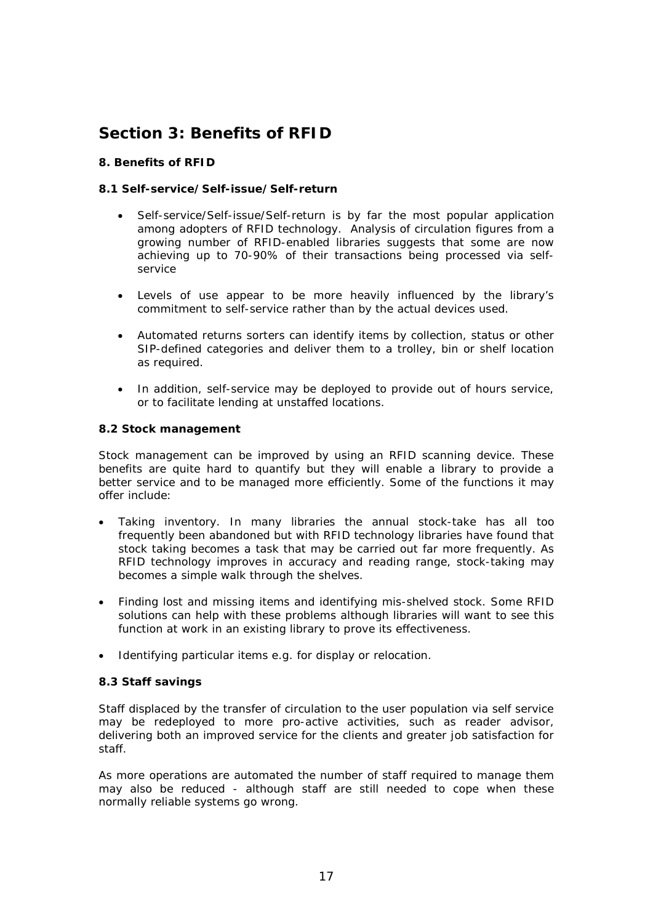# **Section 3: Benefits of RFID**

#### **8. Benefits of RFID**

#### **8.1 Self-service/Self-issue/Self-return**

- Self-service/Self-issue/Self-return is by far the most popular application among adopters of RFID technology. Analysis of circulation figures from a growing number of RFID-enabled libraries suggests that some are now achieving up to 70-90% of their transactions being processed via selfservice
- Levels of use appear to be more heavily influenced by the library's commitment to self-service rather than by the actual devices used.
- Automated returns sorters can identify items by collection, status or other SIP-defined categories and deliver them to a trolley, bin or shelf location as required.
- In addition, self-service may be deployed to provide out of hours service, or to facilitate lending at unstaffed locations.

#### **8.2 Stock management**

Stock management can be improved by using an RFID scanning device. These benefits are quite hard to quantify but they will enable a library to provide a better service and to be managed more efficiently. Some of the functions it may offer include:

- Taking inventory. In many libraries the annual stock-take has all too frequently been abandoned but with RFID technology libraries have found that stock taking becomes a task that may be carried out far more frequently. As RFID technology improves in accuracy and reading range, stock-taking may becomes a simple walk through the shelves.
- Finding lost and missing items and identifying mis-shelved stock. Some RFID solutions can help with these problems although libraries will want to see this function at work in an existing library to prove its effectiveness.
- Identifying particular items e.g. for display or relocation.

#### **8.3 Staff savings**

Staff displaced by the transfer of circulation to the user population via self service may be redeployed to more pro-active activities, such as reader advisor, delivering both an improved service for the clients and greater job satisfaction for staff.

As more operations are automated the number of staff required to manage them may also be reduced - although staff are still needed to cope when these normally reliable systems go wrong.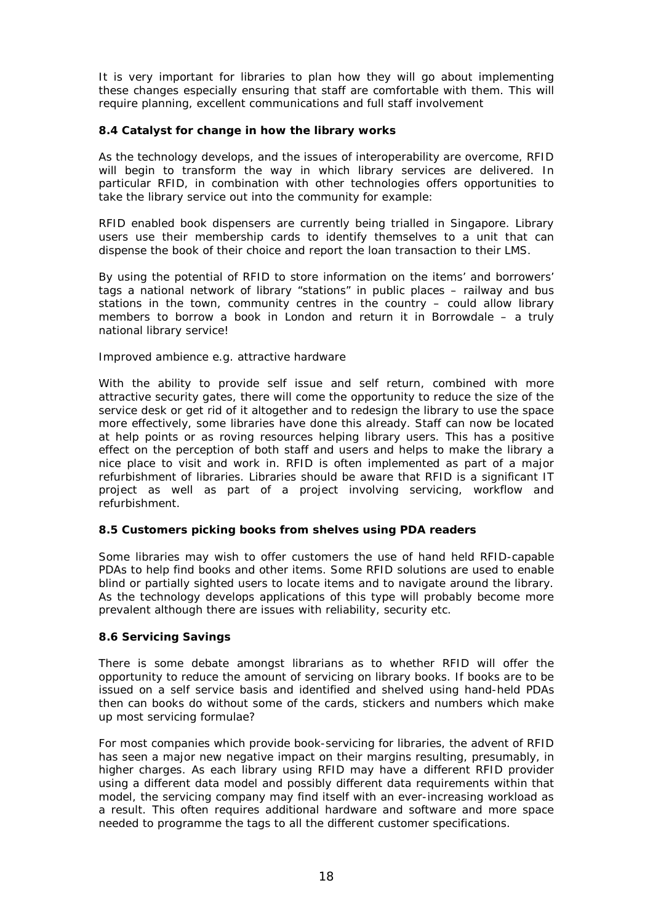It is very important for libraries to plan how they will go about implementing these changes especially ensuring that staff are comfortable with them. This will require planning, excellent communications and full staff involvement

#### **8.4 Catalyst for change in how the library works**

As the technology develops, and the issues of interoperability are overcome, RFID will begin to transform the way in which library services are delivered. In particular RFID, in combination with other technologies offers opportunities to take the library service out into the community for example:

RFID enabled book dispensers are currently being trialled in Singapore. Library users use their membership cards to identify themselves to a unit that can dispense the book of their choice and report the loan transaction to their LMS.

By using the potential of RFID to store information on the items' and borrowers' tags a national network of library "stations" in public places – railway and bus stations in the town, community centres in the country – could allow library members to borrow a book in London and return it in Borrowdale – a truly national library service!

#### Improved ambience e.g. attractive hardware

With the ability to provide self issue and self return, combined with more attractive security gates, there will come the opportunity to reduce the size of the service desk or get rid of it altogether and to redesign the library to use the space more effectively, some libraries have done this already. Staff can now be located at help points or as roving resources helping library users. This has a positive effect on the perception of both staff and users and helps to make the library a nice place to visit and work in. RFID is often implemented as part of a major refurbishment of libraries. Libraries should be aware that RFID is a significant IT project as well as part of a project involving servicing, workflow and refurbishment.

#### **8.5 Customers picking books from shelves using PDA readers**

Some libraries may wish to offer customers the use of hand held RFID-capable PDAs to help find books and other items. Some RFID solutions are used to enable blind or partially sighted users to locate items and to navigate around the library. As the technology develops applications of this type will probably become more prevalent although there are issues with reliability, security etc.

#### **8.6 Servicing Savings**

There is some debate amongst librarians as to whether RFID will offer the opportunity to reduce the amount of servicing on library books. If books are to be issued on a self service basis and identified and shelved using hand-held PDAs then can books do without some of the cards, stickers and numbers which make up most servicing formulae?

For most companies which provide book-servicing for libraries, the advent of RFID has seen a major new negative impact on their margins resulting, presumably, in higher charges. As each library using RFID may have a different RFID provider using a different data model and possibly different data requirements within that model, the servicing company may find itself with an ever-increasing workload as a result. This often requires additional hardware and software and more space needed to programme the tags to all the different customer specifications.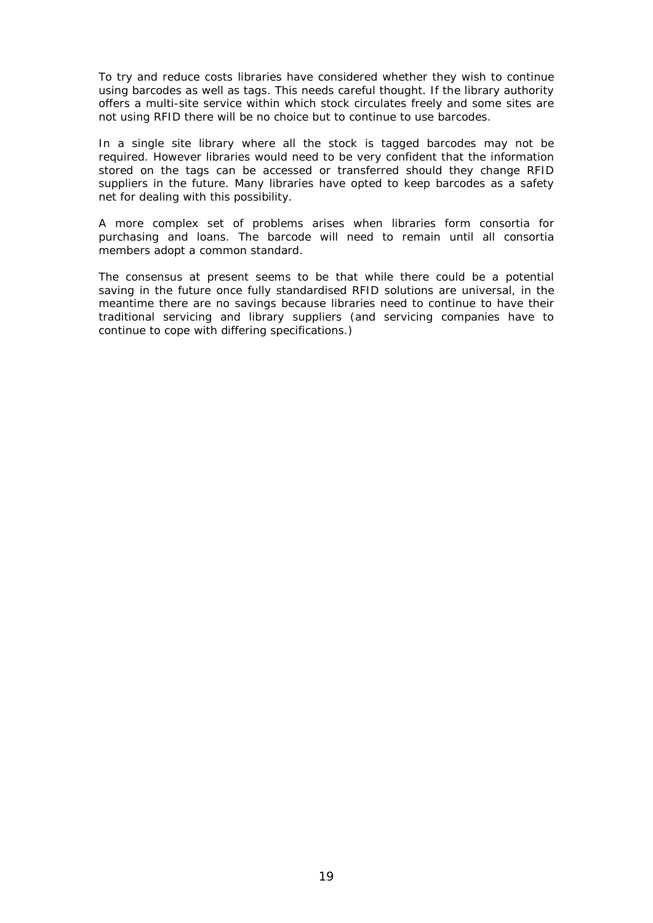To try and reduce costs libraries have considered whether they wish to continue using barcodes as well as tags. This needs careful thought. If the library authority offers a multi-site service within which stock circulates freely and some sites are not using RFID there will be no choice but to continue to use barcodes.

In a single site library where all the stock is tagged barcodes may not be required. However libraries would need to be very confident that the information stored on the tags can be accessed or transferred should they change RFID suppliers in the future. Many libraries have opted to keep barcodes as a safety net for dealing with this possibility.

A more complex set of problems arises when libraries form consortia for purchasing and loans. The barcode will need to remain until all consortia members adopt a common standard.

The consensus at present seems to be that while there could be a potential saving in the future once fully standardised RFID solutions are universal, in the meantime there are no savings because libraries need to continue to have their traditional servicing and library suppliers (and servicing companies have to continue to cope with differing specifications.)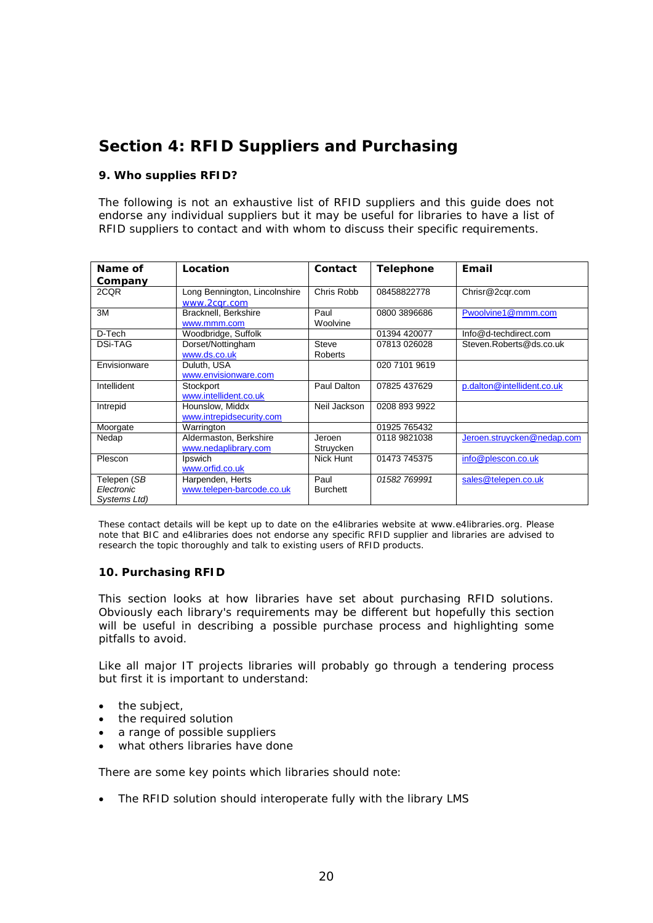# **Section 4: RFID Suppliers and Purchasing**

#### **9. Who supplies RFID?**

The following is not an exhaustive list of RFID suppliers and this guide does not endorse any individual suppliers but it may be useful for libraries to have a list of RFID suppliers to contact and with whom to discuss their specific requirements.

| Name of        | Location                                      | Contact         | <b>Telephone</b> | Email                      |
|----------------|-----------------------------------------------|-----------------|------------------|----------------------------|
|                |                                               |                 |                  |                            |
| Company        |                                               |                 |                  |                            |
| 2CQR           | Long Bennington, Lincolnshire<br>www.2cgr.com | Chris Robb      | 08458822778      | Chrisr@2cgr.com            |
| 3M             | Bracknell, Berkshire                          | Paul            | 0800 3896686     | Pwoolvine1@mmm.com         |
|                | www.mmm.com                                   | Woolvine        |                  |                            |
| D-Tech         | Woodbridge, Suffolk                           |                 | 01394 420077     | Info@d-techdirect.com      |
| <b>DSi-TAG</b> | Dorset/Nottingham                             | Steve           | 07813 026028     | Steven.Roberts@ds.co.uk    |
|                | www.ds.co.uk                                  | Roberts         |                  |                            |
| Envisionware   | Duluth, USA                                   |                 | 020 7101 9619    |                            |
|                | www.envisionware.com                          |                 |                  |                            |
| Intellident    | Stockport                                     | Paul Dalton     | 07825 437629     | p.dalton@intellident.co.uk |
|                | www.intellident.co.uk                         |                 |                  |                            |
| Intrepid       | Hounslow, Middx                               | Neil Jackson    | 0208 893 9922    |                            |
|                | www.intrepidsecurity.com                      |                 |                  |                            |
| Moorgate       | Warrington                                    |                 | 01925 765432     |                            |
| Nedap          | Aldermaston, Berkshire                        | Jeroen          | 0118 9821038     | Jeroen.struycken@nedap.com |
|                | www.nedaplibrary.com                          | Struycken       |                  |                            |
| Plescon        | Ipswich                                       | Nick Hunt       | 01473 745375     | info@plescon.co.uk         |
|                | www.orfid.co.uk                               |                 |                  |                            |
| Telepen (SB    | Harpenden, Herts                              | Paul            | 01582 769991     | sales@telepen.co.uk        |
| Electronic     | www.telepen-barcode.co.uk                     | <b>Burchett</b> |                  |                            |
| Systems Ltd)   |                                               |                 |                  |                            |

*These contact details will be kept up to date on the e4libraries website at www.e4libraries.org. Please note that BIC and e4libraries does not endorse any specific RFID supplier and libraries are advised to research the topic thoroughly and talk to existing users of RFID products.*

#### **10. Purchasing RFID**

This section looks at how libraries have set about purchasing RFID solutions. Obviously each library's requirements may be different but hopefully this section will be useful in describing a possible purchase process and highlighting some pitfalls to avoid.

Like all major IT projects libraries will probably go through a tendering process but first it is important to understand:

- the subject,
- the required solution
- a range of possible suppliers
- what others libraries have done

There are some key points which libraries should note:

• The RFID solution should interoperate fully with the library LMS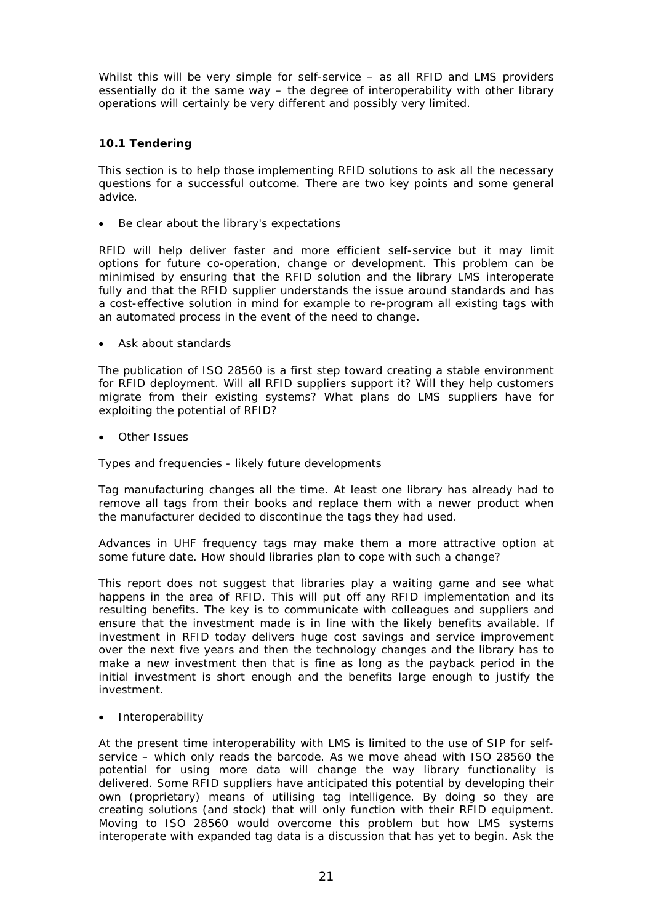Whilst this will be very simple for self-service – as all RFID and LMS providers essentially do it the same way – the degree of interoperability with other library operations will certainly be very different and possibly very limited.

#### **10.1 Tendering**

This section is to help those implementing RFID solutions to ask all the necessary questions for a successful outcome. There are two key points and some general advice.

Be clear about the library's expectations

RFID will help deliver faster and more efficient self-service but it may limit options for future co-operation, change or development. This problem can be minimised by ensuring that the RFID solution and the library LMS interoperate fully and that the RFID supplier understands the issue around standards and has a cost-effective solution in mind for example to re-program all existing tags with an automated process in the event of the need to change.

• Ask about standards

The publication of ISO 28560 is a first step toward creating a stable environment for RFID deployment. Will all RFID suppliers support it? Will they help customers migrate from their existing systems? What plans do LMS suppliers have for exploiting the potential of RFID?

**Other Issues** 

Types and frequencies - likely future developments

Tag manufacturing changes all the time. At least one library has already had to remove all tags from their books and replace them with a newer product when the manufacturer decided to discontinue the tags they had used.

Advances in UHF frequency tags may make them a more attractive option at some future date. How should libraries plan to cope with such a change?

This report does not suggest that libraries play a waiting game and see what happens in the area of RFID. This will put off any RFID implementation and its resulting benefits. The key is to communicate with colleagues and suppliers and ensure that the investment made is in line with the likely benefits available. If investment in RFID today delivers huge cost savings and service improvement over the next five years and then the technology changes and the library has to make a new investment then that is fine as long as the payback period in the initial investment is short enough and the benefits large enough to justify the investment.

**Interoperability** 

At the present time interoperability with LMS is limited to the use of SIP for selfservice – which only reads the barcode. As we move ahead with ISO 28560 the potential for using more data will change the way library functionality is delivered. Some RFID suppliers have anticipated this potential by developing their own (proprietary) means of utilising tag intelligence. By doing so they are creating solutions (and stock) that will only function with their RFID equipment. Moving to ISO 28560 would overcome this problem but how LMS systems interoperate with expanded tag data is a discussion that has yet to begin. Ask the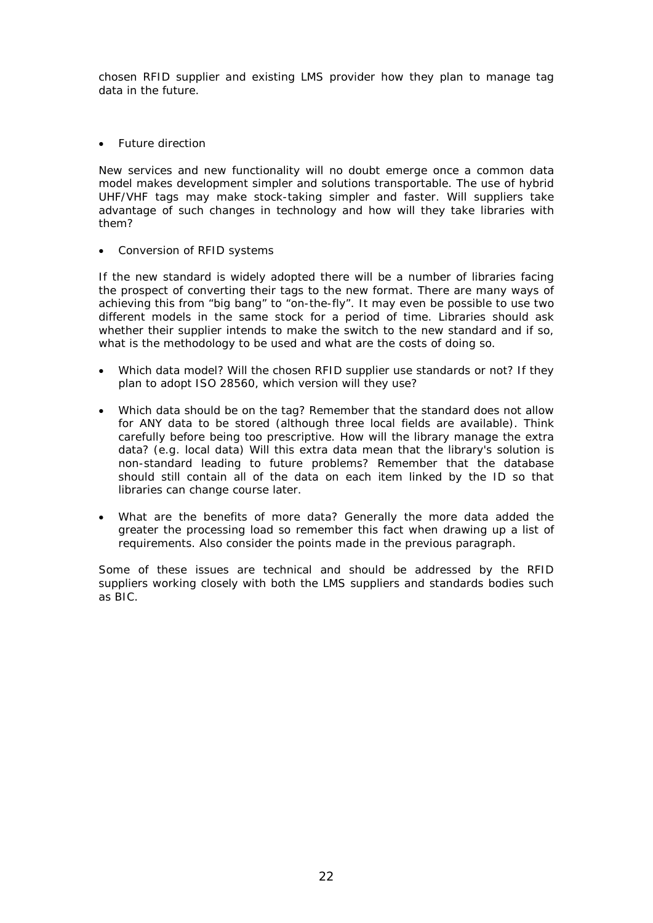chosen RFID supplier and existing LMS provider how they plan to manage tag data in the future.

• Future direction

New services and new functionality will no doubt emerge once a common data model makes development simpler and solutions transportable. The use of hybrid UHF/VHF tags may make stock-taking simpler and faster. Will suppliers take advantage of such changes in technology and how will they take libraries with them?

• Conversion of RFID systems

If the new standard is widely adopted there will be a number of libraries facing the prospect of converting their tags to the new format. There are many ways of achieving this from "big bang" to "on-the-fly". It may even be possible to use two different models in the same stock for a period of time. Libraries should ask whether their supplier intends to make the switch to the new standard and if so, what is the methodology to be used and what are the costs of doing so.

- Which data model? Will the chosen RFID supplier use standards or not? If they plan to adopt ISO 28560, which version will they use?
- Which data should be on the tag? Remember that the standard does not allow for ANY data to be stored (although three local fields are available). Think carefully before being too prescriptive. How will the library manage the extra data? (e.g. local data) Will this extra data mean that the library's solution is non-standard leading to future problems? Remember that the database should still contain all of the data on each item linked by the ID so that libraries can change course later.
- What are the benefits of more data? Generally the more data added the greater the processing load so remember this fact when drawing up a list of requirements. Also consider the points made in the previous paragraph.

Some of these issues are technical and should be addressed by the RFID suppliers working closely with both the LMS suppliers and standards bodies such as BIC.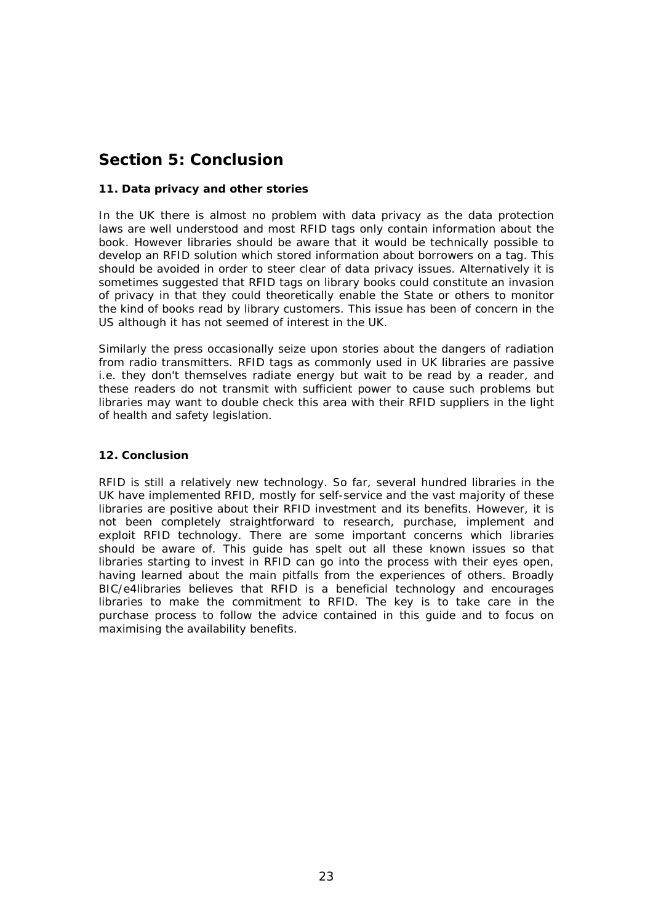# **Section 5: Conclusion**

#### **11. Data privacy and other stories**

In the UK there is almost no problem with data privacy as the data protection laws are well understood and most RFID tags only contain information about the book. However libraries should be aware that it would be technically possible to develop an RFID solution which stored information about borrowers on a tag. This should be avoided in order to steer clear of data privacy issues. Alternatively it is sometimes suggested that RFID tags on library books could constitute an invasion of privacy in that they could theoretically enable the State or others to monitor the kind of books read by library customers. This issue has been of concern in the US although it has not seemed of interest in the UK.

Similarly the press occasionally seize upon stories about the dangers of radiation from radio transmitters. RFID tags as commonly used in UK libraries are passive i.e. they don't themselves radiate energy but wait to be read by a reader, and these readers do not transmit with sufficient power to cause such problems but libraries may want to double check this area with their RFID suppliers in the light of health and safety legislation.

#### **12. Conclusion**

RFID is still a relatively new technology. So far, several hundred libraries in the UK have implemented RFID, mostly for self-service and the vast majority of these libraries are positive about their RFID investment and its benefits. However, it is not been completely straightforward to research, purchase, implement and exploit RFID technology. There are some important concerns which libraries should be aware of. This guide has spelt out all these known issues so that libraries starting to invest in RFID can go into the process with their eyes open, having learned about the main pitfalls from the experiences of others. Broadly BIC/e4libraries believes that RFID is a beneficial technology and encourages libraries to make the commitment to RFID. The key is to take care in the purchase process to follow the advice contained in this guide and to focus on maximising the availability benefits.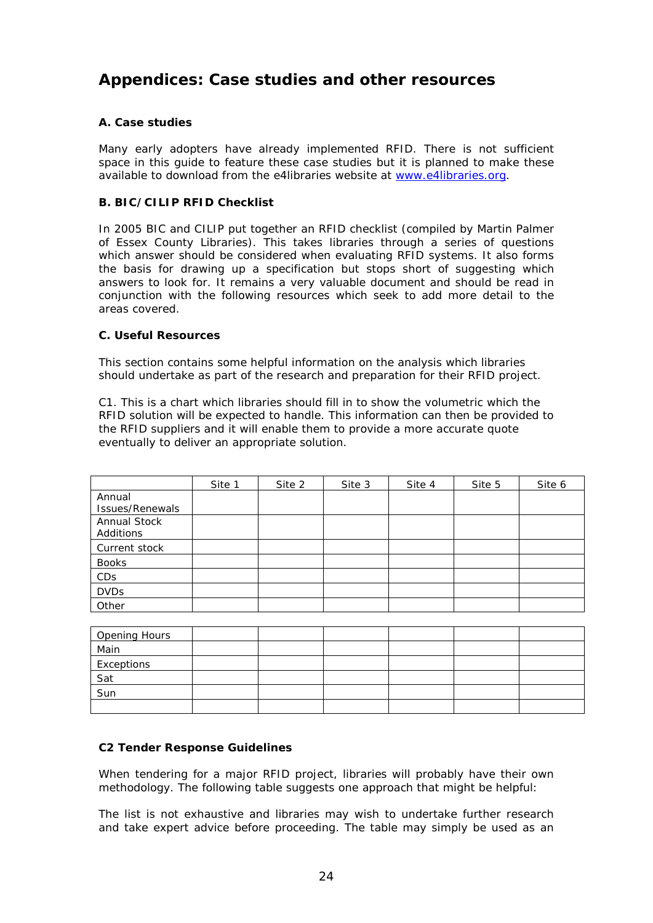# **Appendices: Case studies and other resources**

#### **A. Case studies**

Many early adopters have already implemented RFID. There is not sufficient space in this guide to feature these case studies but it is planned to make these available to download from the e4libraries website at [www.e4libraries.org.](http://www.e4libraries.org/)

#### **B. BIC/CILIP RFID Checklist**

In 2005 BIC and CILIP put together an RFID checklist (compiled by Martin Palmer of Essex County Libraries). This takes libraries through a series of questions which answer should be considered when evaluating RFID systems. It also forms the basis for drawing up a specification but stops short of suggesting which answers to look for. It remains a very valuable document and should be read in conjunction with the following resources which seek to add more detail to the areas covered.

#### **C. Useful Resources**

This section contains some helpful information on the analysis which libraries should undertake as part of the research and preparation for their RFID project.

C1. This is a chart which libraries should fill in to show the volumetric which the RFID solution will be expected to handle. This information can then be provided to the RFID suppliers and it will enable them to provide a more accurate quote eventually to deliver an appropriate solution.

|                 | Site 1 | Site 2 | Site 3 | Site 4 | Site 5 | Site 6 |
|-----------------|--------|--------|--------|--------|--------|--------|
| Annual          |        |        |        |        |        |        |
| Issues/Renewals |        |        |        |        |        |        |
| Annual Stock    |        |        |        |        |        |        |
| Additions       |        |        |        |        |        |        |
| Current stock   |        |        |        |        |        |        |
| <b>Books</b>    |        |        |        |        |        |        |
| <b>CDs</b>      |        |        |        |        |        |        |
| <b>DVDs</b>     |        |        |        |        |        |        |
| Other           |        |        |        |        |        |        |

| <b>Opening Hours</b> |  |  |  |
|----------------------|--|--|--|
| Main                 |  |  |  |
| Exceptions           |  |  |  |
| Sat                  |  |  |  |
| Sun                  |  |  |  |
|                      |  |  |  |

#### **C2 Tender Response Guidelines**

When tendering for a major RFID project, libraries will probably have their own methodology. The following table suggests one approach that might be helpful:

The list is not exhaustive and libraries may wish to undertake further research and take expert advice before proceeding. The table may simply be used as an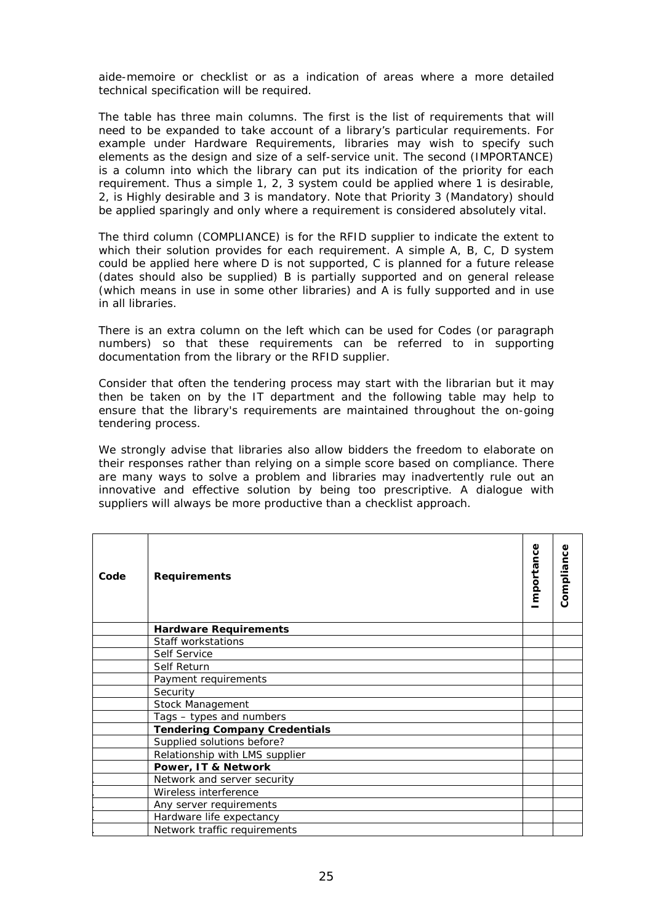aide-memoire or checklist or as a indication of areas where a more detailed technical specification will be required.

The table has three main columns. The first is the list of requirements that will need to be expanded to take account of a library's particular requirements. For example under Hardware Requirements, libraries may wish to specify such elements as the design and size of a self-service unit. The second (IMPORTANCE) is a column into which the library can put its indication of the priority for each requirement. Thus a simple 1, 2, 3 system could be applied where 1 is desirable, 2, is Highly desirable and 3 is mandatory. Note that Priority 3 (Mandatory) should be applied sparingly and only where a requirement is considered absolutely vital.

The third column (COMPLIANCE) is for the RFID supplier to indicate the extent to which their solution provides for each requirement. A simple A, B, C, D system could be applied here where D is not supported, C is planned for a future release (dates should also be supplied) B is partially supported and on general release (which means in use in some other libraries) and A is fully supported and in use in all libraries.

There is an extra column on the left which can be used for Codes (or paragraph numbers) so that these requirements can be referred to in supporting documentation from the library or the RFID supplier.

Consider that often the tendering process may start with the librarian but it may then be taken on by the IT department and the following table may help to ensure that the library's requirements are maintained throughout the on-going tendering process.

We strongly advise that libraries also allow bidders the freedom to elaborate on their responses rather than relying on a simple score based on compliance. There are many ways to solve a problem and libraries may inadvertently rule out an innovative and effective solution by being too prescriptive. A dialogue with suppliers will always be more productive than a checklist approach.

| Code | <b>Requirements</b>                  | mportance | Compliance |
|------|--------------------------------------|-----------|------------|
|      | <b>Hardware Requirements</b>         |           |            |
|      | Staff workstations                   |           |            |
|      | Self Service                         |           |            |
|      | Self Return                          |           |            |
|      | Payment requirements                 |           |            |
|      | Security                             |           |            |
|      | Stock Management                     |           |            |
|      | Tags - types and numbers             |           |            |
|      | <b>Tendering Company Credentials</b> |           |            |
|      | Supplied solutions before?           |           |            |
|      | Relationship with LMS supplier       |           |            |
|      | Power, IT & Network                  |           |            |
|      | Network and server security          |           |            |
|      | Wireless interference                |           |            |
|      | Any server requirements              |           |            |
|      | Hardware life expectancy             |           |            |
|      | Network traffic requirements         |           |            |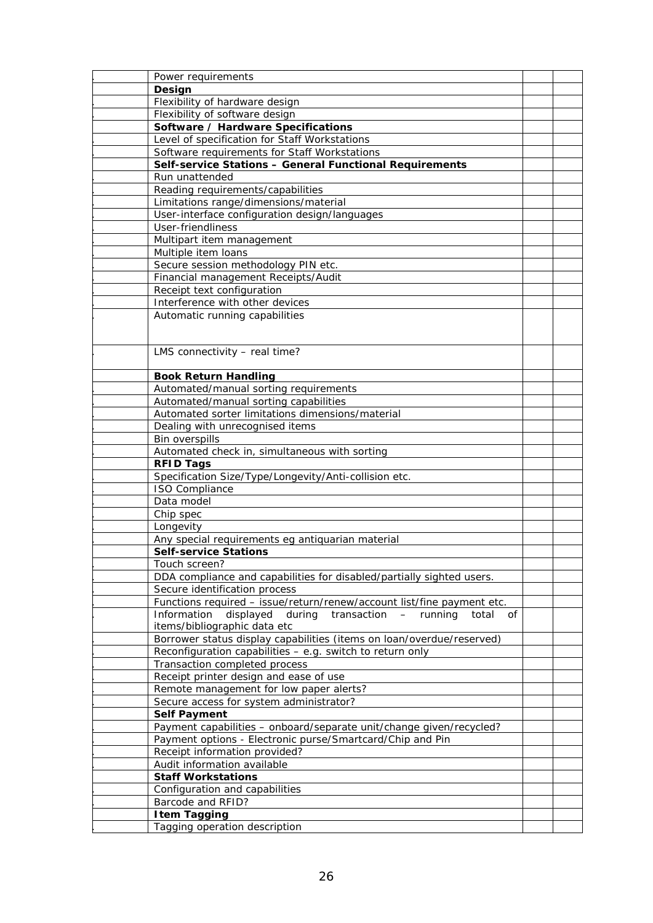| Power requirements                                                     |  |
|------------------------------------------------------------------------|--|
| Design                                                                 |  |
| Flexibility of hardware design                                         |  |
| Flexibility of software design                                         |  |
| Software / Hardware Specifications                                     |  |
| Level of specification for Staff Workstations                          |  |
| Software requirements for Staff Workstations                           |  |
| Self-service Stations - General Functional Requirements                |  |
|                                                                        |  |
| Run unattended                                                         |  |
| Reading requirements/capabilities                                      |  |
| Limitations range/dimensions/material                                  |  |
| User-interface configuration design/languages                          |  |
| User-friendliness                                                      |  |
| Multipart item management                                              |  |
| Multiple item loans                                                    |  |
| Secure session methodology PIN etc.                                    |  |
| Financial management Receipts/Audit                                    |  |
| Receipt text configuration                                             |  |
| Interference with other devices                                        |  |
| Automatic running capabilities                                         |  |
|                                                                        |  |
|                                                                        |  |
| LMS connectivity - real time?                                          |  |
|                                                                        |  |
| <b>Book Return Handling</b>                                            |  |
| Automated/manual sorting requirements                                  |  |
| Automated/manual sorting capabilities                                  |  |
| Automated sorter limitations dimensions/material                       |  |
| Dealing with unrecognised items                                        |  |
| Bin overspills                                                         |  |
| Automated check in, simultaneous with sorting                          |  |
|                                                                        |  |
| <b>RFID Tags</b>                                                       |  |
| Specification Size/Type/Longevity/Anti-collision etc.                  |  |
| <b>ISO Compliance</b>                                                  |  |
| Data model                                                             |  |
| Chip spec                                                              |  |
| Longevity                                                              |  |
| Any special requirements eg antiquarian material                       |  |
| <b>Self-service Stations</b>                                           |  |
| Touch screen?                                                          |  |
| DDA compliance and capabilities for disabled/partially sighted users.  |  |
| Secure identification process                                          |  |
| Functions required - issue/return/renew/account list/fine payment etc. |  |
| displayed during transaction - running<br>Information<br>total<br>οf   |  |
| items/bibliographic data etc                                           |  |
| Borrower status display capabilities (items on loan/overdue/reserved)  |  |
| Reconfiguration capabilities - e.g. switch to return only              |  |
| Transaction completed process                                          |  |
| Receipt printer design and ease of use                                 |  |
| Remote management for low paper alerts?                                |  |
| Secure access for system administrator?                                |  |
| <b>Self Payment</b>                                                    |  |
|                                                                        |  |
| Payment capabilities - onboard/separate unit/change given/recycled?    |  |
| Payment options - Electronic purse/Smartcard/Chip and Pin              |  |
| Receipt information provided?                                          |  |
| Audit information available                                            |  |
| <b>Staff Workstations</b>                                              |  |
| Configuration and capabilities                                         |  |
| Barcode and RFID?                                                      |  |
| <b>Item Tagging</b>                                                    |  |
| Tagging operation description                                          |  |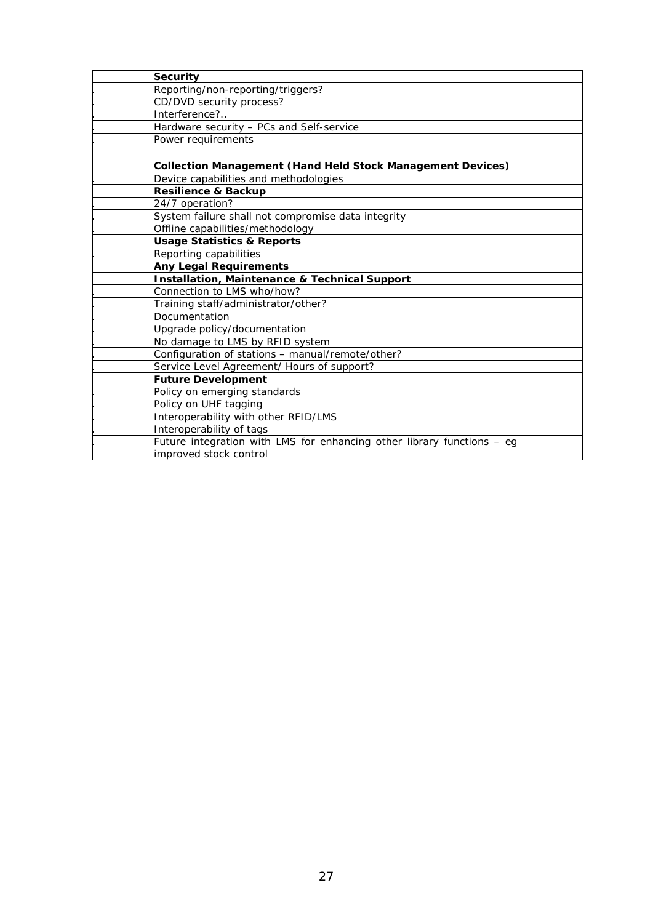| <b>Security</b>                                                        |  |
|------------------------------------------------------------------------|--|
| Reporting/non-reporting/triggers?                                      |  |
| CD/DVD security process?                                               |  |
| Interference?                                                          |  |
| Hardware security - PCs and Self-service                               |  |
| Power requirements                                                     |  |
| <b>Collection Management (Hand Held Stock Management Devices)</b>      |  |
| Device capabilities and methodologies                                  |  |
| <b>Resilience &amp; Backup</b>                                         |  |
| 24/7 operation?                                                        |  |
| System failure shall not compromise data integrity                     |  |
| Offline capabilities/methodology                                       |  |
| <b>Usage Statistics &amp; Reports</b>                                  |  |
| Reporting capabilities                                                 |  |
| <b>Any Legal Requirements</b>                                          |  |
| Installation, Maintenance & Technical Support                          |  |
| Connection to LMS who/how?                                             |  |
| Training staff/administrator/other?                                    |  |
| Documentation                                                          |  |
| Upgrade policy/documentation                                           |  |
| No damage to LMS by RFID system                                        |  |
| Configuration of stations - manual/remote/other?                       |  |
| Service Level Agreement/ Hours of support?                             |  |
| <b>Future Development</b>                                              |  |
| Policy on emerging standards                                           |  |
| Policy on UHF tagging                                                  |  |
| Interoperability with other RFID/LMS                                   |  |
| Interoperability of tags                                               |  |
| Future integration with LMS for enhancing other library functions - eg |  |
| improved stock control                                                 |  |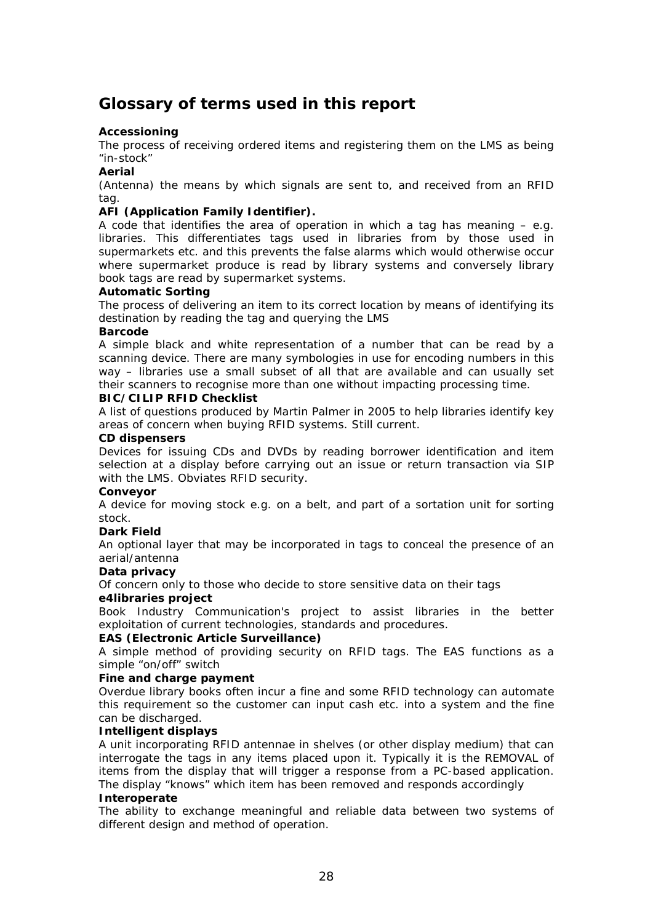### **Glossary of terms used in this report**

#### **Accessioning**

The process of receiving ordered items and registering them on the LMS as being "in-stock"

#### **Aerial**

(Antenna) the means by which signals are sent to, and received from an RFID tag.

#### **AFI (Application Family Identifier).**

A code that identifies the area of operation in which a tag has meaning  $-$  e.g. libraries. This differentiates tags used in libraries from by those used in supermarkets etc. and this prevents the false alarms which would otherwise occur where supermarket produce is read by library systems and conversely library book tags are read by supermarket systems.

#### **Automatic Sorting**

The process of delivering an item to its correct location by means of identifying its destination by reading the tag and querying the LMS

#### **Barcode**

A simple black and white representation of a number that can be read by a scanning device. There are many symbologies in use for encoding numbers in this way – libraries use a small subset of all that are available and can usually set their scanners to recognise more than one without impacting processing time.

#### **BIC/CILIP RFID Checklist**

A list of questions produced by Martin Palmer in 2005 to help libraries identify key areas of concern when buying RFID systems. Still current.

#### **CD dispensers**

Devices for issuing CDs and DVDs by reading borrower identification and item selection at a display before carrying out an issue or return transaction via SIP with the LMS. Obviates RFID security.

#### **Conveyor**

A device for moving stock e.g. on a belt, and part of a sortation unit for sorting stock.

#### **Dark Field**

An optional layer that may be incorporated in tags to conceal the presence of an aerial/antenna

#### **Data privacy**

Of concern only to those who decide to store sensitive data on their tags

#### **e4libraries project**

Book Industry Communication's project to assist libraries in the better exploitation of current technologies, standards and procedures.

#### **EAS (Electronic Article Surveillance)**

A simple method of providing security on RFID tags. The EAS functions as a simple "on/off" switch

#### **Fine and charge payment**

Overdue library books often incur a fine and some RFID technology can automate this requirement so the customer can input cash etc. into a system and the fine can be discharged.

#### **Intelligent displays**

A unit incorporating RFID antennae in shelves (or other display medium) that can interrogate the tags in any items placed upon it. Typically it is the REMOVAL of items from the display that will trigger a response from a PC-based application. The display "knows" which item has been removed and responds accordingly

#### **Interoperate**

The ability to exchange meaningful and reliable data between two systems of different design and method of operation.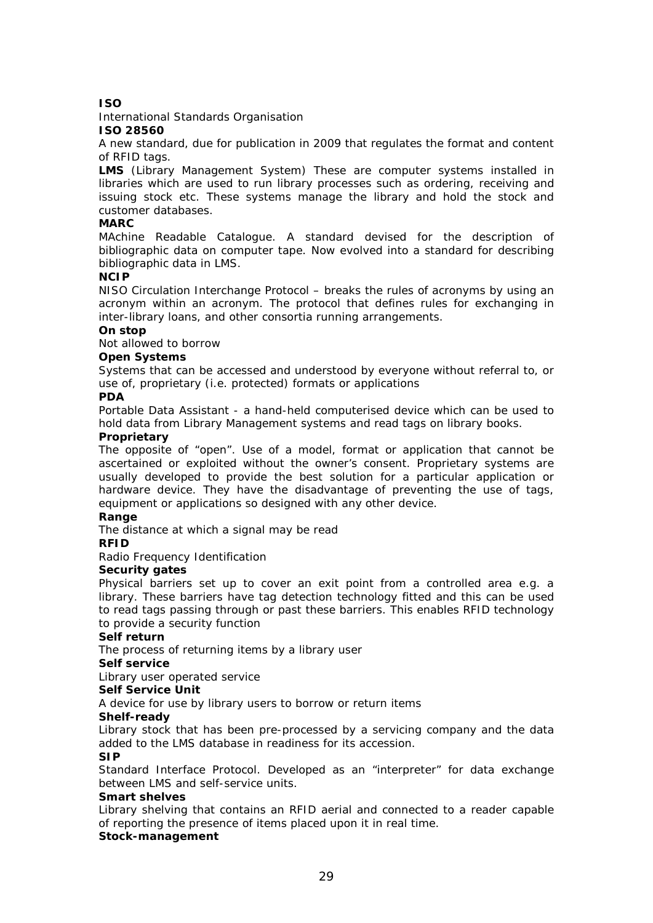#### **ISO**

#### International Standards Organisation

#### **ISO 28560**

A new standard, due for publication in 2009 that regulates the format and content of RFID tags.

**LMS** (Library Management System) These are computer systems installed in libraries which are used to run library processes such as ordering, receiving and issuing stock etc. These systems manage the library and hold the stock and customer databases.

#### **MARC**

MAchine Readable Catalogue. A standard devised for the description of bibliographic data on computer tape. Now evolved into a standard for describing bibliographic data in LMS.

#### **NCIP**

NISO Circulation Interchange Protocol – breaks the rules of acronyms by using an acronym within an acronym. The protocol that defines rules for exchanging in inter-library loans, and other consortia running arrangements.

#### **On stop**

Not allowed to borrow

#### **Open Systems**

Systems that can be accessed and understood by everyone without referral to, or use of, proprietary (i.e. protected) formats or applications

#### **PDA**

Portable Data Assistant - a hand-held computerised device which can be used to hold data from Library Management systems and read tags on library books.

#### **Proprietary**

The opposite of "open". Use of a model, format or application that cannot be ascertained or exploited without the owner's consent. Proprietary systems are usually developed to provide the best solution for a particular application or hardware device. They have the disadvantage of preventing the use of tags, equipment or applications so designed with any other device.

#### **Range**

The distance at which a signal may be read

#### **RFID**

Radio Frequency Identification

#### **Security gates**

Physical barriers set up to cover an exit point from a controlled area e.g. a library. These barriers have tag detection technology fitted and this can be used to read tags passing through or past these barriers. This enables RFID technology to provide a security function

#### **Self return**

The process of returning items by a library user

#### **Self service**

Library user operated service

#### **Self Service Unit**

A device for use by library users to borrow or return items

#### **Shelf-ready**

Library stock that has been pre-processed by a servicing company and the data added to the LMS database in readiness for its accession.

#### **SIP**

Standard Interface Protocol. Developed as an "interpreter" for data exchange between LMS and self-service units.

#### **Smart shelves**

Library shelving that contains an RFID aerial and connected to a reader capable of reporting the presence of items placed upon it in real time.

#### **Stock-management**